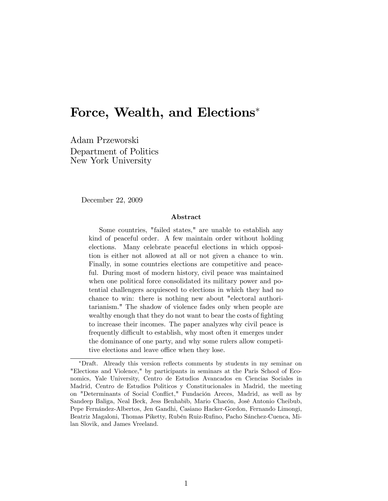# Force, Wealth, and Elections

Adam Przeworski Department of Politics New York University

December 22, 2009

#### Abstract

Some countries, "failed states," are unable to establish any kind of peaceful order. A few maintain order without holding elections. Many celebrate peaceful elections in which opposition is either not allowed at all or not given a chance to win. Finally, in some countries elections are competitive and peaceful. During most of modern history, civil peace was maintained when one political force consolidated its military power and potential challengers acquiesced to elections in which they had no chance to win: there is nothing new about "electoral authoritarianism." The shadow of violence fades only when people are wealthy enough that they do not want to bear the costs of fighting to increase their incomes. The paper analyzes why civil peace is frequently difficult to establish, why most often it emerges under the dominance of one party, and why some rulers allow competitive elections and leave office when they lose.

<sup>\*</sup>Draft. Already this version reflects comments by students in my seminar on "Elections and Violence," by participants in seminars at the Paris School of Economics, Yale University, Centro de Estudios Avancados en Ciencias Sociales in Madrid, Centro de Estudios Politicos y Constitucionales in Madrid, the meeting on "Determinants of Social Conflict," Fundación Areces, Madrid, as well as by Sandeep Baliga, Neal Beck, Jess Benhabib, Mario Chacón, José Antonio Cheibub, Pepe Fernández-Albertos, Jen Gandhi, Casiano Hacker-Gordon, Fernando Limongi, Beatriz Magaloni, Thomas Piketty, Rubén Ruiz-Rufino, Pacho Sánchez-Cuenca, Milan Slovik, and James Vreeland.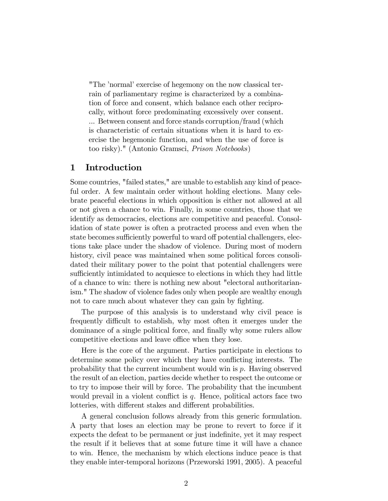"The 'normal' exercise of hegemony on the now classical terrain of parliamentary regime is characterized by a combination of force and consent, which balance each other reciprocally, without force predominating excessively over consent. ... Between consent and force stands corruption/fraud (which is characteristic of certain situations when it is hard to exercise the hegemonic function, and when the use of force is too risky)." (Antonio Gramsci, Prison Notebooks)

#### 1 Introduction

Some countries, "failed states," are unable to establish any kind of peaceful order. A few maintain order without holding elections. Many celebrate peaceful elections in which opposition is either not allowed at all or not given a chance to win. Finally, in some countries, those that we identify as democracies, elections are competitive and peaceful. Consolidation of state power is often a protracted process and even when the state becomes sufficiently powerful to ward off potential challengers, elections take place under the shadow of violence. During most of modern history, civil peace was maintained when some political forces consolidated their military power to the point that potential challengers were sufficiently intimidated to acquiesce to elections in which they had little of a chance to win: there is nothing new about "electoral authoritarianism." The shadow of violence fades only when people are wealthy enough not to care much about whatever they can gain by fighting.

The purpose of this analysis is to understand why civil peace is frequently difficult to establish, why most often it emerges under the dominance of a single political force, and finally why some rulers allow competitive elections and leave office when they lose.

Here is the core of the argument. Parties participate in elections to determine some policy over which they have conflicting interests. The probability that the current incumbent would win is p. Having observed the result of an election, parties decide whether to respect the outcome or to try to impose their will by force. The probability that the incumbent would prevail in a violent conflict is  $q$ . Hence, political actors face two lotteries, with different stakes and different probabilities.

A general conclusion follows already from this generic formulation. A party that loses an election may be prone to revert to force if it expects the defeat to be permanent or just indefinite, yet it may respect the result if it believes that at some future time it will have a chance to win. Hence, the mechanism by which elections induce peace is that they enable inter-temporal horizons (Przeworski 1991, 2005). A peaceful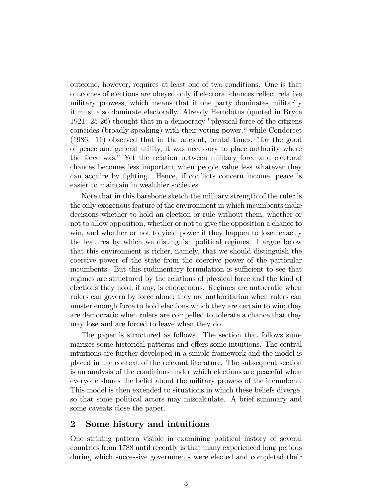outcome, however, requires at least one of two conditions. One is that outcomes of elections are obeyed only if electoral chances reflect relative military prowess, which means that if one party dominates militarily it must also dominate electorally. Already Herodotus (quoted in Bryce 1921: 25-26) thought that in a democracy "physical force of the citizens coincides (broadly speaking) with their voting power," while Condorcet  $(1986: 11)$  observed that in the ancient, brutal times, "for the good of peace and general utility, it was necessary to place authority where the force was.î Yet the relation between military force and electoral chances becomes less important when people value less whatever they can acquire by fighting. Hence, if conflicts concern income, peace is easier to maintain in wealthier societies.

Note that in this barebone sketch the military strength of the ruler is the only exogenous feature of the environment in which incumbents make decisions whether to hold an election or rule without them, whether or not to allow opposition, whether or not to give the opposition a chance to win, and whether or not to yield power if they happen to lose: exactly the features by which we distinguish political regimes. I argue below that this environment is richer, namely, that we should distinguish the coercive power of the state from the coercive power of the particular incumbents. But this rudimentary formulation is sufficient to see that regimes are structured by the relations of physical force and the kind of elections they hold, if any, is endogenous. Regimes are autocratic when rulers can govern by force alone; they are authoritarian when rulers can muster enough force to hold elections which they are certain to win; they are democratic when rulers are compelled to tolerate a chance that they may lose and are forced to leave when they do.

The paper is structured as follows. The section that follows summarizes some historical patterns and offers some intuitions. The central intuitions are further developed in a simple framework and the model is placed in the context of the relevant literature. The subsequent section is an analysis of the conditions under which elections are peaceful when everyone shares the belief about the military prowess of the incumbent. This model is then extended to situations in which these beliefs diverge, so that some political actors may miscalculate. A brief summary and some caveats close the paper.

### 2 Some history and intuitions

One striking pattern visible in examining political history of several countries from 1788 until recently is that many experienced long periods during which successive governments were elected and completed their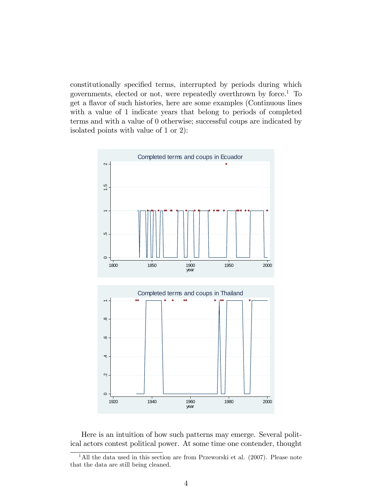constitutionally specified terms, interrupted by periods during which governments, elected or not, were repeatedly overthrown by force.<sup>1</sup> To get a flavor of such histories, here are some examples (Continuous lines with a value of 1 indicate years that belong to periods of completed terms and with a value of 0 otherwise; successful coups are indicated by isolated points with value of 1 or 2):



Here is an intuition of how such patterns may emerge. Several political actors contest political power. At some time one contender, thought

<sup>&</sup>lt;sup>1</sup>All the data used in this section are from Przeworski et al. (2007). Please note that the data are still being cleaned.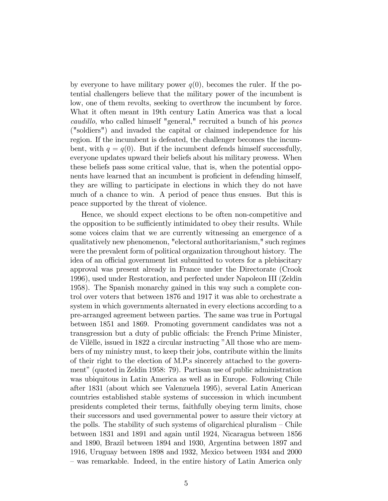by everyone to have military power  $q(0)$ , becomes the ruler. If the potential challengers believe that the military power of the incumbent is low, one of them revolts, seeking to overthrow the incumbent by force. What it often meant in 19th century Latin America was that a local caudillo, who called himself "general," recruited a bunch of his peones ("soldiers") and invaded the capital or claimed independence for his region. If the incumbent is defeated, the challenger becomes the incumbent, with  $q = q(0)$ . But if the incumbent defends himself successfully, everyone updates upward their beliefs about his military prowess. When these beliefs pass some critical value, that is, when the potential opponents have learned that an incumbent is proficient in defending himself, they are willing to participate in elections in which they do not have much of a chance to win. A period of peace thus ensues. But this is peace supported by the threat of violence.

Hence, we should expect elections to be often non-competitive and the opposition to be sufficiently intimidated to obey their results. While some voices claim that we are currently witnessing an emergence of a qualitatively new phenomenon, "electoral authoritarianism," such regimes were the prevalent form of political organization throughout history. The idea of an official government list submitted to voters for a plebiscitary approval was present already in France under the Directorate (Crook 1996), used under Restoration, and perfected under Napoleon III (Zeldin 1958). The Spanish monarchy gained in this way such a complete control over voters that between 1876 and 1917 it was able to orchestrate a system in which governments alternated in every elections according to a pre-arranged agreement between parties. The same was true in Portugal between 1851 and 1869. Promoting government candidates was not a transgression but a duty of public officials: the French Prime Minister, de Vilèlle, issued in 1822 a circular instructing "All those who are members of my ministry must, to keep their jobs, contribute within the limits of their right to the election of M.P.s sincerely attached to the government" (quoted in Zeldin 1958: 79). Partisan use of public administration was ubiquitous in Latin America as well as in Europe. Following Chile after 1831 (about which see Valenzuela 1995), several Latin American countries established stable systems of succession in which incumbent presidents completed their terms, faithfully obeying term limits, chose their successors and used governmental power to assure their victory at the polls. The stability of such systems of oligarchical pluralism  $\sim$  Chile between 1831 and 1891 and again until 1924, Nicaragua between 1856 and 1890, Brazil between 1894 and 1930, Argentina between 1897 and 1916, Uruguay between 1898 and 1932, Mexico between 1934 and 2000 – was remarkable. Indeed, in the entire history of Latin America only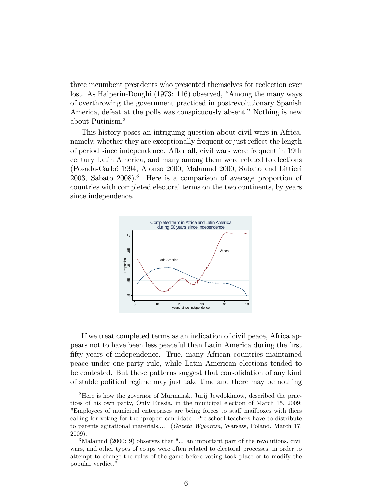three incumbent presidents who presented themselves for reelection ever lost. As Halperin-Donghi (1973: 116) observed, "Among the many ways of overthrowing the government practiced in postrevolutionary Spanish America, defeat at the polls was conspicuously absent." Nothing is new about Putinism.<sup>2</sup>

This history poses an intriguing question about civil wars in Africa, namely, whether they are exceptionally frequent or just reflect the length of period since independence. After all, civil wars were frequent in 19th century Latin America, and many among them were related to elections (Posada-CarbÛ 1994, Alonso 2000, Malamud 2000, Sabato and Littieri 2003, Sabato 2008).<sup>3</sup> Here is a comparison of average proportion of countries with completed electoral terms on the two continents, by years since independence.



If we treat completed terms as an indication of civil peace, Africa appears not to have been less peaceful than Latin America during the Örst fifty years of independence. True, many African countries maintained peace under one-party rule, while Latin American elections tended to be contested. But these patterns suggest that consolidation of any kind of stable political regime may just take time and there may be nothing

<sup>&</sup>lt;sup>2</sup>Here is how the governor of Murmansk, Jurij Jewdokimow, described the practices of his own party, Only Russia, in the municipal election of March 15, 2009: "Employees of municipal enterprises are being forces to staff mailboxes with fliers calling for voting for the 'proper' candidate. Pre-school teachers have to distribute to parents agitational materials...." (Gazeta Wyborcza, Warsaw, Poland, March 17, 2009).

<sup>&</sup>lt;sup>3</sup>Malamud (2000: 9) observes that "... an important part of the revolutions, civil wars, and other types of coups were often related to electoral processes, in order to attempt to change the rules of the game before voting took place or to modify the popular verdict."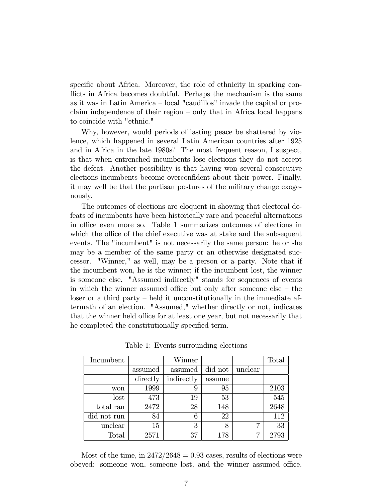specific about Africa. Moreover, the role of ethnicity in sparking conflicts in Africa becomes doubtful. Perhaps the mechanism is the same as it was in Latin America  $\sim$  local "caudillos" invade the capital or proclaim independence of their region  $\sim$  only that in Africa local happens to coincide with "ethnic."

Why, however, would periods of lasting peace be shattered by violence, which happened in several Latin American countries after 1925 and in Africa in the late 1980s? The most frequent reason, I suspect, is that when entrenched incumbents lose elections they do not accept the defeat. Another possibility is that having won several consecutive elections incumbents become overconfident about their power. Finally, it may well be that the partisan postures of the military change exogenously.

The outcomes of elections are eloquent in showing that electoral defeats of incumbents have been historically rare and peaceful alternations in office even more so. Table 1 summarizes outcomes of elections in which the office of the chief executive was at stake and the subsequent events. The "incumbent" is not necessarily the same person: he or she may be a member of the same party or an otherwise designated successor. "Winner," as well, may be a person or a party. Note that if the incumbent won, he is the winner; if the incumbent lost, the winner is someone else. "Assumed indirectly" stands for sequences of events in which the winner assumed office but only after someone else  $-$  the  $\log$  loser or a third party – held it unconstitutionally in the immediate aftermath of an election. "Assumed," whether directly or not, indicates that the winner held office for at least one year, but not necessarily that he completed the constitutionally specified term.

| Incumbent   |          | Winner     |         |         | Total |
|-------------|----------|------------|---------|---------|-------|
|             | assumed  | assumed    | did not | unclear |       |
|             | directly | indirectly | assume  |         |       |
| won         | 1999     | 9          | 95      |         | 2103  |
| lost        | 473      | 19         | 53      |         | 545   |
| total ran   | 2472     | 28         | 148     |         | 2648  |
| did not run | 84       | 6          | 22      |         | 112   |
| unclear     | 15       | 3          | 8       | ⇁       | 33    |
| Total       | 2571     | 37         | 178     | 7       | 2793  |

Table 1: Events surrounding elections

Most of the time, in  $2472/2648 = 0.93$  cases, results of elections were obeyed: someone won, someone lost, and the winner assumed office.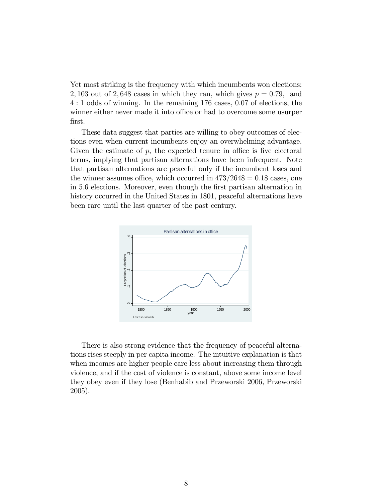Yet most striking is the frequency with which incumbents won elections: 2, 103 out of 2, 648 cases in which they ran, which gives  $p = 0.79$ , and 4 : 1 odds of winning. In the remaining 176 cases, 0:07 of elections, the winner either never made it into office or had to overcome some usurper Örst.

These data suggest that parties are willing to obey outcomes of elections even when current incumbents enjoy an overwhelming advantage. Given the estimate of  $p$ , the expected tenure in office is five electoral terms, implying that partisan alternations have been infrequent. Note that partisan alternations are peaceful only if the incumbent loses and the winner assumes office, which occurred in  $473/2648 = 0.18$  cases, one in 5:6 elections. Moreover, even though the Örst partisan alternation in history occurred in the United States in 1801, peaceful alternations have been rare until the last quarter of the past century.



There is also strong evidence that the frequency of peaceful alternations rises steeply in per capita income. The intuitive explanation is that when incomes are higher people care less about increasing them through violence, and if the cost of violence is constant, above some income level they obey even if they lose (Benhabib and Przeworski 2006, Przeworski 2005).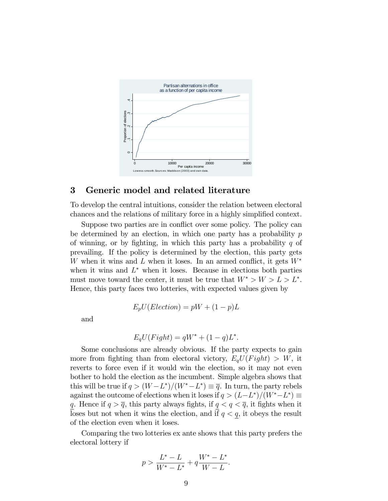

#### 3 Generic model and related literature

To develop the central intuitions, consider the relation between electoral chances and the relations of military force in a highly simplified context.

Suppose two parties are in conflict over some policy. The policy can be determined by an election, in which one party has a probability  $p$ of winning, or by fighting, in which this party has a probability  $q$  of prevailing. If the policy is determined by the election, this party gets W when it wins and L when it loses. In an armed conflict, it gets  $W^*$ when it wins and  $L^*$  when it loses. Because in elections both parties must move toward the center, it must be true that  $W^* > W > L > L^*$ . Hence, this party faces two lotteries, with expected values given by

$$
E_p U(Election) = pW + (1 - p)L
$$

and

$$
E_q U(Fight) = qW^* + (1-q)L^*.
$$

Some conclusions are already obvious. If the party expects to gain more from fighting than from electoral victory,  $E_aU(Fight) > W$ , it reverts to force even if it would win the election, so it may not even bother to hold the election as the incumbent. Simple algebra shows that this will be true if  $q > (W - L^*)/(W^* - L^*) \equiv \overline{q}$ . In turn, the party rebels against the outcome of elections when it loses if  $q > (L-L^*)/(W^* - L^*) \equiv$ q. Hence if  $q > \overline{q}$ , this party always fights, if  $q < q < \overline{q}$ , it fights when it loses but not when it wins the election, and if  $q < q$ , it obeys the result of the election even when it loses.

Comparing the two lotteries ex ante shows that this party prefers the electoral lottery if

$$
p > \frac{L^* - L}{W^* - L^*} + q\frac{W^* - L^*}{W - L}.
$$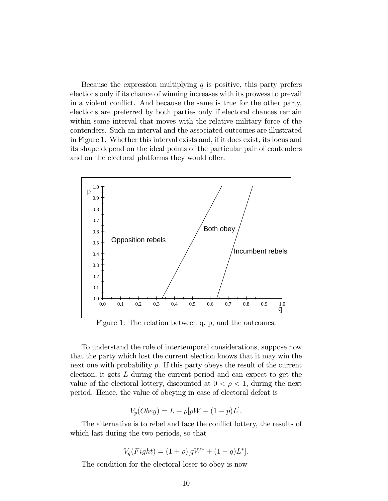Because the expression multiplying  $q$  is positive, this party prefers elections only if its chance of winning increases with its prowess to prevail in a violent conflict. And because the same is true for the other party, elections are preferred by both parties only if electoral chances remain within some interval that moves with the relative military force of the contenders. Such an interval and the associated outcomes are illustrated in Figure 1. Whether this interval exists and, if it does exist, its locus and its shape depend on the ideal points of the particular pair of contenders and on the electoral platforms they would offer.



Figure 1: The relation between q, p, and the outcomes.

To understand the role of intertemporal considerations, suppose now that the party which lost the current election knows that it may win the next one with probability p. If this party obeys the result of the current election, it gets L during the current period and can expect to get the value of the electoral lottery, discounted at  $0 < \rho < 1$ , during the next period. Hence, the value of obeying in case of electoral defeat is

$$
V_p(Obey) = L + \rho[pW + (1 - p)L].
$$

The alternative is to rebel and face the conflict lottery, the results of which last during the two periods, so that

$$
V_q(Fight) = (1+\rho)[qW^* + (1-q)L^*].
$$

The condition for the electoral loser to obey is now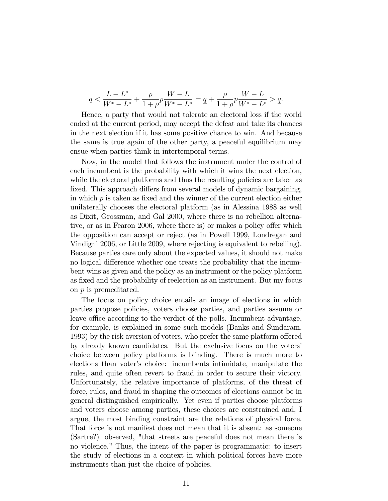$$
q < \frac{L - L^*}{W^* - L^*} + \frac{\rho}{1 + \rho} p \frac{W - L}{W^* - L^*} = \frac{\rho}{1 + \rho} p \frac{W - L}{W^* - L^*} > \frac{\rho}{1 + \rho} p \frac{W - L}{W^* - L^*}
$$

Hence, a party that would not tolerate an electoral loss if the world ended at the current period, may accept the defeat and take its chances in the next election if it has some positive chance to win. And because the same is true again of the other party, a peaceful equilibrium may ensue when parties think in intertemporal terms.

Now, in the model that follows the instrument under the control of each incumbent is the probability with which it wins the next election, while the electoral platforms and thus the resulting policies are taken as fixed. This approach differs from several models of dynamic bargaining, in which  $p$  is taken as fixed and the winner of the current election either unilaterally chooses the electoral platform (as in Alessina 1988 as well as Dixit, Grossman, and Gal 2000, where there is no rebellion alternative, or as in Fearon 2006, where there is) or makes a policy offer which the opposition can accept or reject (as in Powell 1999, Londregan and Vindigni 2006, or Little 2009, where rejecting is equivalent to rebelling). Because parties care only about the expected values, it should not make no logical difference whether one treats the probability that the incumbent wins as given and the policy as an instrument or the policy platform as fixed and the probability of reelection as an instrument. But my focus on p is premeditated.

The focus on policy choice entails an image of elections in which parties propose policies, voters choose parties, and parties assume or leave office according to the verdict of the polls. Incumbent advantage, for example, is explained in some such models (Banks and Sundaram. 1993) by the risk aversion of voters, who prefer the same platform offered by already known candidates. But the exclusive focus on the voters' choice between policy platforms is blinding. There is much more to elections than voter's choice: incumbents intimidate, manipulate the rules, and quite often revert to fraud in order to secure their victory. Unfortunately, the relative importance of platforms, of the threat of force, rules, and fraud in shaping the outcomes of elections cannot be in general distinguished empirically. Yet even if parties choose platforms and voters choose among parties, these choices are constrained and, I argue, the most binding constraint are the relations of physical force. That force is not manifest does not mean that it is absent: as someone (Sartre?) observed, "that streets are peaceful does not mean there is no violence." Thus, the intent of the paper is programmatic: to insert the study of elections in a context in which political forces have more instruments than just the choice of policies.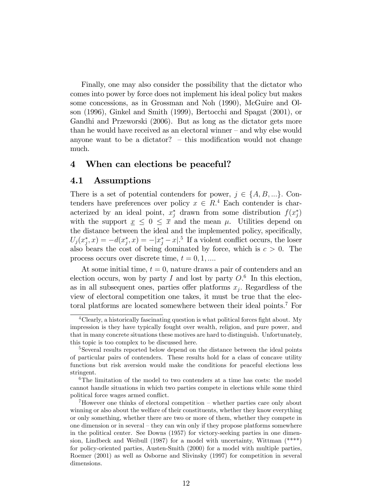Finally, one may also consider the possibility that the dictator who comes into power by force does not implement his ideal policy but makes some concessions, as in Grossman and Noh (1990), McGuire and Olson (1996), Ginkel and Smith (1999), Bertocchi and Spagat (2001), or Gandhi and Przeworski (2006). But as long as the dictator gets more than he would have received as an electoral winner  $-$  and why else would anyone want to be a dictator?  $-$  this modification would not change much.

### 4 When can elections be peaceful?

### 4.1 Assumptions

There is a set of potential contenders for power,  $j \in \{A, B, ...\}$ . Contenders have preferences over policy  $x \in R<sup>4</sup>$  Each contender is characterized by an ideal point,  $x_j^*$  drawn from some distribution  $f(x_j^*)$ with the support  $\underline{x} \leq 0 \leq \overline{x}$  and the mean  $\mu$ . Utilities depend on the distance between the ideal and the implemented policy, specifically,  $U_j(x_j^*, x) = -d(x_j^*, x) = -|x_j^* - x|$ <sup>5</sup> If a violent conflict occurs, the loser also bears the cost of being dominated by force, which is  $c > 0$ . The process occurs over discrete time,  $t = 0, 1, \dots$ 

At some initial time,  $t = 0$ , nature draws a pair of contenders and an election occurs, won by party I and lost by party  $O<sup>6</sup>$  In this election, as in all subsequent ones, parties offer platforms  $x_j$ . Regardless of the view of electoral competition one takes, it must be true that the electoral platforms are located somewhere between their ideal points: <sup>7</sup> For

 $4$ Clearly, a historically fascinating question is what political forces fight about. My impression is they have typically fought over wealth, religion, and pure power, and that in many concrete situations these motives are hard to distinguish. Unfortunately, this topic is too complex to be discussed here.

<sup>&</sup>lt;sup>5</sup>Several results reported below depend on the distance between the ideal points of particular pairs of contenders. These results hold for a class of concave utility functions but risk aversion would make the conditions for peaceful elections less stringent.

<sup>&</sup>lt;sup>6</sup>The limitation of the model to two contenders at a time has costs: the model cannot handle situations in which two parties compete in elections while some third political force wages armed conflict.

 $7$ However one thinks of electoral competition – whether parties care only about winning or also about the welfare of their constituents, whether they know everything or only something, whether there are two or more of them, whether they compete in one dimension or in several  $-\text{they}$  can win only if they propose platforms somewhere in the political center. See Downs (1957) for victory-seeking parties in one dimension, Lindbeck and Weibull (1987) for a model with uncertainty, Wittman  $(*^{**})$ for policy-oriented parties, Austen-Smith (2000) for a model with multiple parties, Roemer (2001) as well as Osborne and Slivinsky (1997) for competition in several dimensions.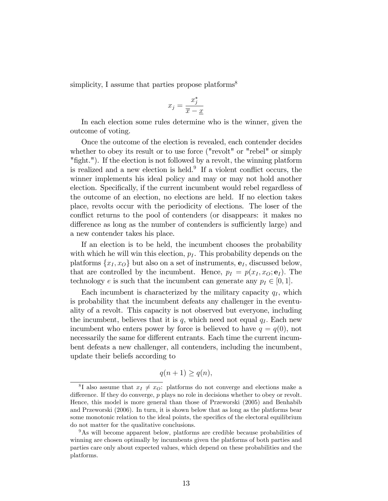simplicity, I assume that parties propose platforms<sup>8</sup>

$$
x_j = \frac{x_j^*}{\overline{x} - \underline{x}}
$$

In each election some rules determine who is the winner, given the outcome of voting.

Once the outcome of the election is revealed, each contender decides whether to obey its result or to use force ("revolt" or "rebel" or simply "fight."). If the election is not followed by a revolt, the winning platform is realized and a new election is held.<sup>9</sup> If a violent conflict occurs, the winner implements his ideal policy and may or may not hold another election. Specifically, if the current incumbent would rebel regardless of the outcome of an election, no elections are held. If no election takes place, revolts occur with the periodicity of elections. The loser of the conflict returns to the pool of contenders (or disappears: it makes no difference as long as the number of contenders is sufficiently large) and a new contender takes his place.

If an election is to be held, the incumbent chooses the probability with which he will win this election,  $p_I$ . This probability depends on the platforms  $\{x_I, x_O\}$  but also on a set of instruments,  $e_I$ , discussed below, that are controlled by the incumbent. Hence,  $p_I = p(x_I, x_O; \mathbf{e}_I)$ . The technology e is such that the incumbent can generate any  $p_I \in [0, 1]$ .

Each incumbent is characterized by the military capacity  $q_I$ , which is probability that the incumbent defeats any challenger in the eventuality of a revolt. This capacity is not observed but everyone, including the incumbent, believes that it is  $q$ , which need not equal  $q_I$ . Each new incumbent who enters power by force is believed to have  $q = q(0)$ , not necessarily the same for different entrants. Each time the current incumbent defeats a new challenger, all contenders, including the incumbent, update their beliefs according to

$$
q(n+1) \ge q(n),
$$

<sup>&</sup>lt;sup>8</sup>I also assume that  $x_I \neq x_O$ : platforms do not converge and elections make a difference. If they do converge,  $p$  plays no role in decisions whether to obey or revolt. Hence, this model is more general than those of Przeworski (2005) and Benhabib and Przeworski (2006). In turn, it is shown below that as long as the platforms bear some monotonic relation to the ideal points, the specifics of the electoral equilibrium do not matter for the qualitative conclusions.

<sup>9</sup>As will become apparent below, platforms are credible because probabilities of winning are chosen optimally by incumbents given the platforms of both parties and parties care only about expected values, which depend on these probabilities and the platforms.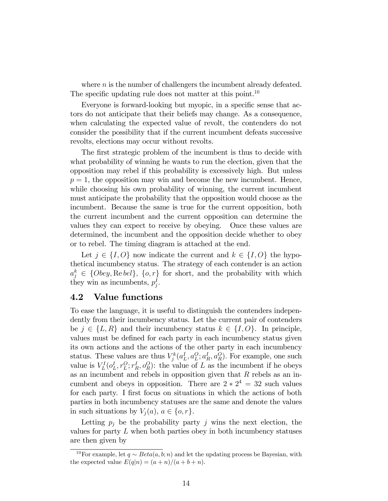where  $n$  is the number of challengers the incumbent already defeated. The specific updating rule does not matter at this point.<sup>10</sup>

Everyone is forward-looking but myopic, in a specific sense that actors do not anticipate that their beliefs may change. As a consequence, when calculating the expected value of revolt, the contenders do not consider the possibility that if the current incumbent defeats successive revolts, elections may occur without revolts.

The first strategic problem of the incumbent is thus to decide with what probability of winning he wants to run the election, given that the opposition may rebel if this probability is excessively high. But unless  $p = 1$ , the opposition may win and become the new incumbent. Hence, while choosing his own probability of winning, the current incumbent must anticipate the probability that the opposition would choose as the incumbent. Because the same is true for the current opposition, both the current incumbent and the current opposition can determine the values they can expect to receive by obeying. Once these values are determined, the incumbent and the opposition decide whether to obey or to rebel. The timing diagram is attached at the end.

Let  $j \in \{I, O\}$  now indicate the current and  $k \in \{I, O\}$  the hypothetical incumbency status. The strategy of each contender is an action  $a_j^k \in \{Obey, \text{Re } bel\}, \{o, r\}$  for short, and the probability with which they win as incumbents,  $p_j^I$ .

### 4.2 Value functions

To ease the language, it is useful to distinguish the contenders independently from their incumbency status. Let the current pair of contenders be  $j \in \{L, R\}$  and their incumbency status  $k \in \{I, O\}$ . In principle, values must be defined for each party in each incumbency status given its own actions and the actions of the other party in each incumbency status. These values are thus  $V_j^k(a_L^I, a_L^O; a_R^I, a_R^O)$ . For example, one such value is  $V_L^I(o_L^I, r_L^O; r_R^I, o_R^O)$ : the value of L as the incumbent if he obeys as an incumbent and rebels in opposition given that  $R$  rebels as an incumbent and obeys in opposition. There are  $2 \times 2^4 = 32$  such values for each party. I first focus on situations in which the actions of both parties in both incumbency statuses are the same and denote the values in such situations by  $V_i(a)$ ,  $a \in \{o, r\}.$ 

Letting  $p_i$  be the probability party j wins the next election, the values for party  $L$  when both parties obey in both incumbency statuses are then given by

<sup>&</sup>lt;sup>10</sup>For example, let  $q \sim Beta(a, b; n)$  and let the updating process be Bayesian, with the expected value  $E(q|n) = (a + n)/(a + b + n)$ .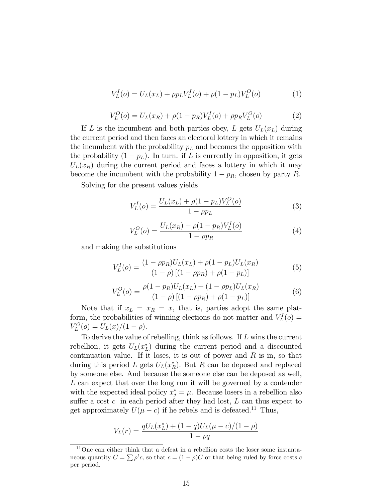$$
V_L^I(o) = U_L(x_L) + \rho p_L V_L^I(o) + \rho (1 - p_L) V_L^O(o)
$$
 (1)

$$
V_L^O(o) = U_L(x_R) + \rho (1 - p_R) V_L^I(o) + \rho p_R V_L^O(o)
$$
 (2)

If L is the incumbent and both parties obey, L gets  $U_L(x_L)$  during the current period and then faces an electoral lottery in which it remains the incumbent with the probability  $p<sub>L</sub>$  and becomes the opposition with the probability  $(1 - p_L)$ . In turn. if L is currently in opposition, it gets  $U_L(x_R)$  during the current period and faces a lottery in which it may become the incumbent with the probability  $1 - p_R$ , chosen by party R.

Solving for the present values yields

$$
V_L^I(o) = \frac{U_L(x_L) + \rho (1 - p_L) V_L^O(o)}{1 - \rho p_L} \tag{3}
$$

$$
V_L^O(o) = \frac{U_L(x_R) + \rho(1 - p_R)V_L^I(o)}{1 - \rho p_R}
$$
\n(4)

and making the substitutions

$$
V_L^I(o) = \frac{(1 - \rho p_R)U_L(x_L) + \rho (1 - p_L)U_L(x_R)}{(1 - \rho)[(1 - \rho p_R) + \rho (1 - p_L)]}
$$
(5)

$$
V_L^O(o) = \frac{\rho(1 - p_R)U_L(x_L) + (1 - \rho p_L)U_L(x_R)}{(1 - \rho)[(1 - \rho p_R) + \rho(1 - p_L)]}
$$
(6)

Note that if  $x_L = x_R = x$ , that is, parties adopt the same platform, the probabilities of winning elections do not matter and  $V_L^I(o)$  =  $V_L^O(o) = U_L(x)/(1 - \rho).$ 

To derive the value of rebelling, think as follows. If L wins the current rebellion, it gets  $U_L(x_L^*)$  during the current period and a discounted continuation value. If it loses, it is out of power and  $R$  is in, so that during this period L gets  $U_L(x_R^*)$ . But R can be deposed and replaced by someone else. And because the someone else can be deposed as well,  $L$  can expect that over the long run it will be governed by a contender with the expected ideal policy  $x_j^* = \mu$ . Because losers in a rebellion also suffer a cost  $c$  in each period after they had lost,  $L$  can thus expect to get approximately  $U(\mu - c)$  if he rebels and is defeated.<sup>11</sup> Thus,

$$
V_L(r) = \frac{qU_L(x_L^*) + (1-q)U_L(\mu - c)/(1 - \rho)}{1 - \rho q}
$$

<sup>11</sup>One can either think that a defeat in a rebellion costs the loser some instantaneous quantity  $C = \sum \rho^t c$ , so that  $c = (1 - \rho)C$  or that being ruled by force costs c per period.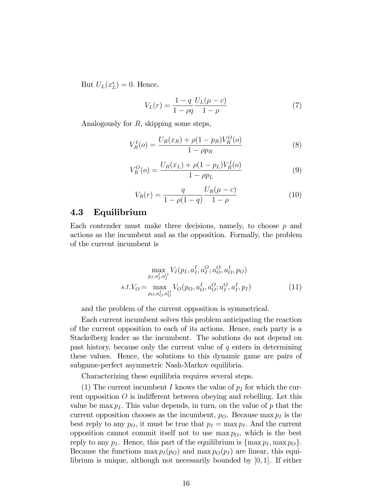But  $U_L(x_L^*)=0$ . Hence,

$$
V_L(r) = \frac{1 - q}{1 - \rho q} \frac{U_L(\mu - c)}{1 - \rho} \tag{7}
$$

Analogously for R; skipping some steps,

$$
V_R^I(o) = \frac{U_R(x_R) + \rho(1 - p_R)V_R^O(o)}{1 - \rho p_R}
$$
\n(8)

$$
V_R^O(o) = \frac{U_R(x_L) + \rho(1 - p_L)V_R^I(o)}{1 - \rho p_L}
$$
\n(9)

$$
V_R(r) = \frac{q}{1 - \rho(1 - q)} \frac{U_R(\mu - c)}{1 - \rho} \tag{10}
$$

### 4.3 Equilibrium

Each contender must make three decisions, namely, to choose  $p$  and actions as the incumbent and as the opposition. Formally, the problem of the current incumbent is

$$
\max_{p_I, a_I^I, a_I^O} V_I(p_I, a_I^I, a_I^O; a_O^O, a_O^I, p_O)
$$
  
s.t. $V_O = \max_{p_O, a_O^I, a_O^O} V_O(p_O, a_O^I, a_O^O; a_I^O, a_I^I, p_I)$  (11)

and the problem of the current opposition is symmetrical.

Each current incumbent solves this problem anticipating the reaction of the current opposition to each of its actions. Hence, each party is a Stackelberg leader as the incumbent. The solutions do not depend on past history, because only the current value of  $q$  enters in determining these values. Hence, the solutions to this dynamic game are pairs of subgame-perfect asymmetric Nash-Markov equilibria.

Characterizing these equilibria requires several steps.

(1) The current incumbent I knows the value of  $p_I$  for which the current opposition  $O$  is indifferent between obeying and rebelling. Let this value be max  $p_I$ . This value depends, in turn, on the value of p that the current opposition chooses as the incumbent,  $p<sub>O</sub>$ . Because max  $p<sub>I</sub>$  is the best reply to any  $p_O$ , it must be true that  $p_I = \max p_I$ . And the current opposition cannot commit itself not to use  $\max p_O$ , which is the best reply to any  $p_I$ . Hence, this part of the equilibrium is  $\{\max p_I, \max p_O\}$ . Because the functions  $\max p_I(p_O)$  and  $\max p_O(p_I)$  are linear, this equilibrium is unique, although not necessarily bounded by [0; 1]. If either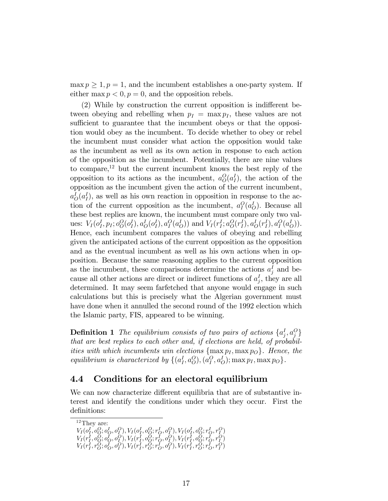$\max p \geq 1, p = 1$ , and the incumbent establishes a one-party system. If either max  $p < 0$ ,  $p = 0$ , and the opposition rebels.

 $(2)$  While by construction the current opposition is indifferent between obeying and rebelling when  $p_I = \max p_I$ , these values are not sufficient to guarantee that the incumbent obeys or that the opposition would obey as the incumbent. To decide whether to obey or rebel the incumbent must consider what action the opposition would take as the incumbent as well as its own action in response to each action of the opposition as the incumbent. Potentially, there are nine values to compare, $12$  but the current incumbent knows the best reply of the opposition to its actions as the incumbent,  $a_O^O(a_I^I)$ , the action of the opposition as the incumbent given the action of the current incumbent,  $a_O^I(a_I^I)$ , as well as his own reaction in opposition in response to the action of the current opposition as the incumbent,  $a_I^O(a_O^I)$ . Because all these best replies are known, the incumbent must compare only two values:  $V_I(o_I^I, p_I; o_O^O(o_I^I), a_O^I(o_I^I), a_I^O(a_O^I))$  and  $V_I(r_I^I; a_O^O(r_I^I), a_O^I(r_I^I), a_I^O(a_O^I))$ . Hence, each incumbent compares the values of obeying and rebelling given the anticipated actions of the current opposition as the opposition and as the eventual incumbent as well as his own actions when in opposition. Because the same reasoning applies to the current opposition as the incumbent, these comparisons determine the actions  $a_j^I$  and because all other actions are direct or indirect functions of  $a_j^I$ , they are all determined. It may seem farfetched that anyone would engage in such calculations but this is precisely what the Algerian government must have done when it annulled the second round of the 1992 election which the Islamic party, FIS, appeared to be winning.

**Definition 1** The equilibrium consists of two pairs of actions  $\{a_j^I, a_j^O\}$ that are best replies to each other and, if elections are held, of probabilities with which incumbents win elections  $\{\max p_I, \max p_O\}$ . Hence, the equilibrium is characterized by  $\{(a_I^I, a_O^O), (a_I^O, a_O^I); \max p_I, \max p_O\}$ .

# 4.4 Conditions for an electoral equilibrium

We can now characterize different equilibria that are of substantive interest and identify the conditions under which they occur. First the definitions:

<sup>12</sup>They are:  $V_I(o_I^I, o_O^O; o_O^I, o_I^O), V_I(o_I^I, o_O^O; r_O^I, o_I^O), V_I(o_I^I, o_O^O; r_O^I, r_I^O)$  $V_I(r_I^I,o_Q^O; o_Q^I,o_Q^O), V_I(r_I^I,o_Q^O;r_Q^I,o_Q^O), V_I(r_I^I,o_Q^O;r_Q^I,r_Q^O)$  $V_I(r_I^I, r_O^O; o_O^I, o_I^O), V_I(r_I^I, r_O^O; r_O^I, o_I^O), V_I(r_I^I, r_O^O; r_O^I, r_I^O)$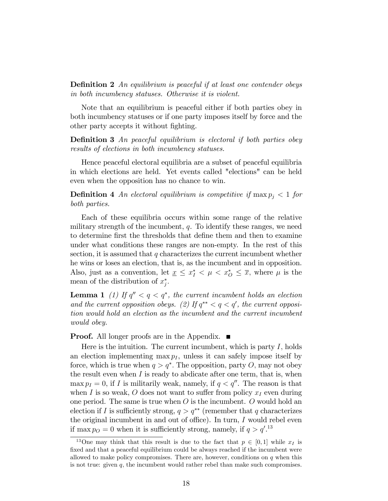**Definition 2** An equilibrium is peaceful if at least one contender obeys in both incumbency statuses. Otherwise it is violent.

Note that an equilibrium is peaceful either if both parties obey in both incumbency statuses or if one party imposes itself by force and the other party accepts it without fighting.

**Definition 3** An peaceful equilibrium is electoral if both parties obey results of elections in both incumbency statuses.

Hence peaceful electoral equilibria are a subset of peaceful equilibria in which elections are held. Yet events called "elections" can be held even when the opposition has no chance to win.

**Definition 4** An electoral equilibrium is competitive if  $\max p_i < 1$  for both parties.

Each of these equilibria occurs within some range of the relative military strength of the incumbent,  $q$ . To identify these ranges, we need to determine first the thresholds that define them and then to examine under what conditions these ranges are non-empty. In the rest of this section, it is assumed that  $q$  characterizes the current incumbent whether he wins or loses an election, that is, as the incumbent and in opposition. Also, just as a convention, let  $\underline{x} \leq x_I^* < \mu < x_O^* \leq \overline{x}$ , where  $\mu$  is the mean of the distribution of  $x_j^*$ .

**Lemma 1** (1) If  $q'' < q < q^*$ , the current incumbent holds an election and the current opposition obeys. (2) If  $q^{**} < q < q'$ , the current opposition would hold an election as the incumbent and the current incumbent would obey.

**Proof.** All longer proofs are in the Appendix.  $\blacksquare$ 

Here is the intuition. The current incumbent, which is party  $I$ , holds an election implementing max  $p_I$ , unless it can safely impose itself by force, which is true when  $q > q^*$ . The opposition, party O, may not obey the result even when  $I$  is ready to abdicate after one term, that is, when max  $p_I = 0$ , if I is militarily weak, namely, if  $q < q''$ . The reason is that when I is so weak, O does not want to suffer from policy  $x_I$  even during one period. The same is true when  $O$  is the incumbent.  $O$  would hold an election if I is sufficiently strong,  $q > q^{**}$  (remember that q characterizes the original incumbent in and out of office). In turn,  $I$  would rebel even if max  $p_Q = 0$  when it is sufficiently strong, namely, if  $q > q'.^{13}$ 

<sup>&</sup>lt;sup>13</sup>One may think that this result is due to the fact that  $p \in [0, 1]$  while  $x_I$  is fixed and that a peaceful equilibrium could be always reached if the incumbent were allowed to make policy compromises. There are, however, conditions on  $q$  when this is not true: given  $q$ , the incumbent would rather rebel than make such compromises.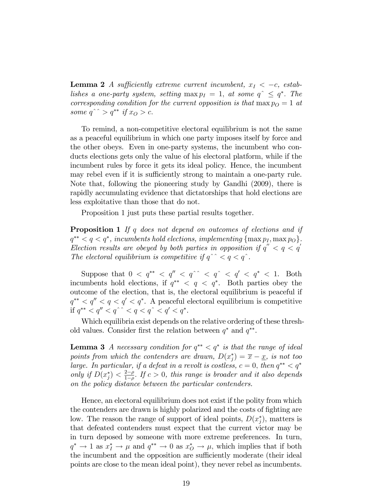**Lemma 2** A sufficiently extreme current incumbent,  $x_I < -c$ , establishes a one-party system, setting  $\max p_I = 1$ , at some  $q^{\hat{ }} \leq q^*$ . The corresponding condition for the current opposition is that  $\max p_O = 1$  at some  $q^{\hat{ }} > q^{\ast\ast}$  if  $x_Q > c$ .

To remind, a non-competitive electoral equilibrium is not the same as a peaceful equilibrium in which one party imposes itself by force and the other obeys. Even in one-party systems, the incumbent who conducts elections gets only the value of his electoral platform, while if the incumbent rules by force it gets its ideal policy. Hence, the incumbent may rebel even if it is sufficiently strong to maintain a one-party rule. Note that, following the pioneering study by Gandhi (2009), there is rapidly accumulating evidence that dictatorships that hold elections are less exploitative than those that do not.

Proposition 1 just puts these partial results together.

**Proposition 1** If q does not depend on outcomes of elections and if  $q^{**} < q < q^*$ , incumbents hold elections, implementing  $\{\max p_I, \max p_O\}$ , Election results are obeyed by both parties in opposition if  $q'' < q < q'$ The electoral equilibrium is competitive if  $q^{\hat{ }}$  <  $q < q^{\hat{ }}$ .

Suppose that  $0 < q^{**} < q'' < q^{\hat{ }} < q^{\hat{ }} < q' < q^* < 1$ . Both incumbents hold elections, if  $q^{**} < q < q^*$ . Both parties obey the outcome of the election, that is, the electoral equilibrium is peaceful if  $q^{**} < q'' < q < q^*$ . A peaceful electoral equilibrium is competitive if  $q^{**} < q'' < q^{\hat{ }} < q < q^{\hat{ }} < q < q''$ .

Which equilibria exist depends on the relative ordering of these threshold values. Consider first the relation between  $q^*$  and  $q^{**}$ .

**Lemma 3** A necessary condition for  $q^{**} < q^*$  is that the range of ideal points from which the contenders are drawn,  $D(x_j^*) = \overline{x} - \underline{x}$ , is not too large. In particular, if a defeat in a revolt is costless,  $c = 0$ , then  $q^{**} < q^*$ only if  $D(x_j^*) < \frac{2-\rho}{1-\rho}$  $\frac{2-\rho}{1-\rho}$ . If  $c > 0$ , this range is broader and it also depends on the policy distance between the particular contenders.

Hence, an electoral equilibrium does not exist if the polity from which the contenders are drawn is highly polarized and the costs of fighting are low. The reason the range of support of ideal points,  $D(x_j^*)$ , matters is that defeated contenders must expect that the current victor may be in turn deposed by someone with more extreme preferences. In turn,  $q^* \to 1$  as  $x_I^* \to \mu$  and  $q^{**} \to 0$  as  $x_O^* \to \mu$ , which implies that if both the incumbent and the opposition are sufficiently moderate (their ideal points are close to the mean ideal point), they never rebel as incumbents.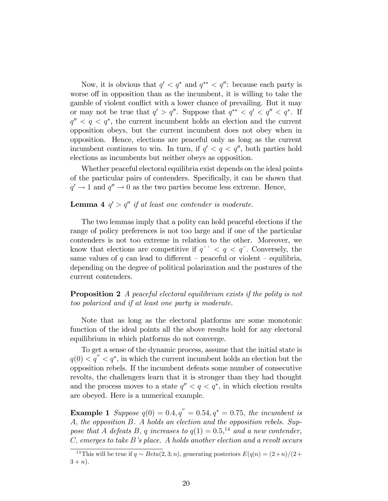Now, it is obvious that  $q' < q^*$  and  $q^{**} < q''$ : because each party is worse off in opposition than as the incumbent, it is willing to take the gamble of violent conflict with a lower chance of prevailing. But it may or may not be true that  $q' > q''$ . Suppose that  $q^{**} < q' < q'' < q^*$ . If  $q'' < q < q^*$ , the current incumbent holds an election and the current opposition obeys, but the current incumbent does not obey when in opposition. Hence, elections are peaceful only as long as the current incumbent continues to win. In turn, if  $q' < q < q''$ , both parties hold elections as incumbents but neither obeys as opposition.

Whether peaceful electoral equilibria exist depends on the ideal points of the particular pairs of contenders. Specifically, it can be shown that  $q' \rightarrow 1$  and  $q'' \rightarrow 0$  as the two parties become less extreme. Hence,

#### **Lemma 4**  $q' > q''$  if at least one contender is moderate.

The two lemmas imply that a polity can hold peaceful elections if the range of policy preferences is not too large and if one of the particular contenders is not too extreme in relation to the other. Moreover, we know that elections are competitive if  $q^{\hat{ }}$  <  $q$  <  $q^{\hat{ }}$ . Conversely, the same values of q can lead to different – peaceful or violent – equilibria, depending on the degree of political polarization and the postures of the current contenders.

**Proposition 2** A peaceful electoral equilibrium exists if the polity is not too polarized and if at least one party is moderate.

Note that as long as the electoral platforms are some monotonic function of the ideal points all the above results hold for any electoral equilibrium in which platforms do not converge.

To get a sense of the dynamic process, assume that the initial state is  $q(0) < q'' < q^*$ , in which the current incumbent holds an election but the opposition rebels. If the incumbent defeats some number of consecutive revolts, the challengers learn that it is stronger than they had thought and the process moves to a state  $q'' < q < q^*$ , in which election results are obeyed. Here is a numerical example.

**Example 1** Suppose  $q(0) = 0.4, q'' = 0.54, q^* = 0.75$ , the incumbent is A; the opposition B. A holds an election and the opposition rebels. Suppose that A defeats B, q increases to  $q(1) = 0.5$ ,<sup>14</sup> and a new contender,  $C$ , emerges to take  $B$ 's place. A holds another election and a revolt occurs

<sup>&</sup>lt;sup>14</sup>This will be true if  $q \sim Beta(2, 3; n)$ , generating posteriors  $E(q|n) = (2+n)/(2+n)$  $3 + n$ ).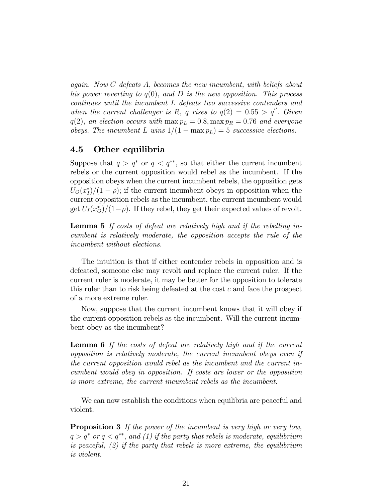again. Now C defeats A; becomes the new incumbent, with beliefs about his power reverting to  $q(0)$ , and D is the new opposition. This process continues until the incumbent L defeats two successive contenders and when the current challenger is R, q rises to  $q(2) = 0.55 > q''$ . Given  $q(2)$ , an election occurs with  $\max p_L = 0.8$ ,  $\max p_R = 0.76$  and everyone obeys. The incumbent L wins  $1/(1 - \max p_L) = 5$  successive elections.

# 4.5 Other equilibria

Suppose that  $q > q^*$  or  $q < q^{**}$ , so that either the current incumbent rebels or the current opposition would rebel as the incumbent. If the opposition obeys when the current incumbent rebels, the opposition gets  $U_O(x_I^*)/(1-\rho)$ ; if the current incumbent obeys in opposition when the current opposition rebels as the incumbent, the current incumbent would get  $U_I(x_O^*)/(1-\rho)$ . If they rebel, they get their expected values of revolt.

Lemma 5 If costs of defeat are relatively high and if the rebelling incumbent is relatively moderate, the opposition accepts the rule of the incumbent without elections.

The intuition is that if either contender rebels in opposition and is defeated, someone else may revolt and replace the current ruler. If the current ruler is moderate, it may be better for the opposition to tolerate this ruler than to risk being defeated at the cost c and face the prospect of a more extreme ruler.

Now, suppose that the current incumbent knows that it will obey if the current opposition rebels as the incumbent. Will the current incumbent obey as the incumbent?

Lemma 6 If the costs of defeat are relatively high and if the current opposition is relatively moderate, the current incumbent obeys even if the current opposition would rebel as the incumbent and the current incumbent would obey in opposition. If costs are lower or the opposition is more extreme, the current incumbent rebels as the incumbent.

We can now establish the conditions when equilibria are peaceful and violent.

**Proposition 3** If the power of the incumbent is very high or very low,  $q > q^*$  or  $q < q^{**}$ , and (1) if the party that rebels is moderate, equilibrium is peaceful,  $(2)$  if the party that rebels is more extreme, the equilibrium is violent.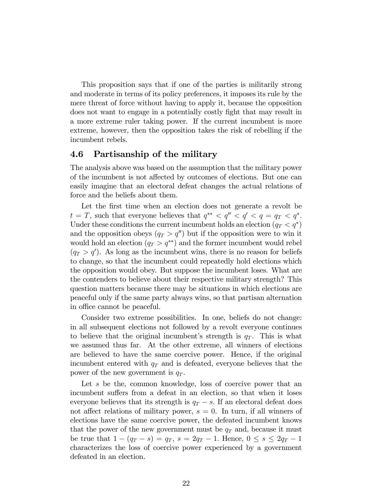This proposition says that if one of the parties is militarily strong and moderate in terms of its policy preferences, it imposes its rule by the mere threat of force without having to apply it, because the opposition does not want to engage in a potentially costly Öght that may result in a more extreme ruler taking power. If the current incumbent is more extreme, however, then the opposition takes the risk of rebelling if the incumbent rebels.

# 4.6 Partisanship of the military

The analysis above was based on the assumption that the military power of the incumbent is not affected by outcomes of elections. But one can easily imagine that an electoral defeat changes the actual relations of force and the beliefs about them.

Let the first time when an election does not generate a revolt be  $t = T$ , such that everyone believes that  $q^{**} < q'' < q' < q = q_T < q^*$ . Under these conditions the current incumbent holds an election  $(q_T < q^*)$ and the opposition obeys  $(q_T > q'')$  but if the opposition were to win it would hold an election  $(q_T > q^{**})$  and the former incumbent would rebel  $(q_T > q')$ . As long as the incumbent wins, there is no reason for beliefs to change, so that the incumbent could repeatedly hold elections which the opposition would obey. But suppose the incumbent loses. What are the contenders to believe about their respective military strength? This question matters because there may be situations in which elections are peaceful only if the same party always wins, so that partisan alternation in office cannot be peaceful.

Consider two extreme possibilities. In one, beliefs do not change: in all subsequent elections not followed by a revolt everyone continues to believe that the original incumbent's strength is  $q_T$ . This is what we assumed thus far. At the other extreme, all winners of elections are believed to have the same coercive power. Hence, if the original incumbent entered with  $q_T$  and is defeated, everyone believes that the power of the new government is  $q_T$ .

Let s be the, common knowledge, loss of coercive power that an incumbent suffers from a defeat in an election, so that when it loses everyone believes that its strength is  $q_T - s$ . If an electoral defeat does not affect relations of military power,  $s = 0$ . In turn, if all winners of elections have the same coercive power, the defeated incumbent knows that the power of the new government must be  $q_T$  and, because it must be true that  $1 - (q_T - s) = q_T$ ,  $s = 2q_T - 1$ . Hence,  $0 \leq s \leq 2q_T - 1$ characterizes the loss of coercive power experienced by a government defeated in an election.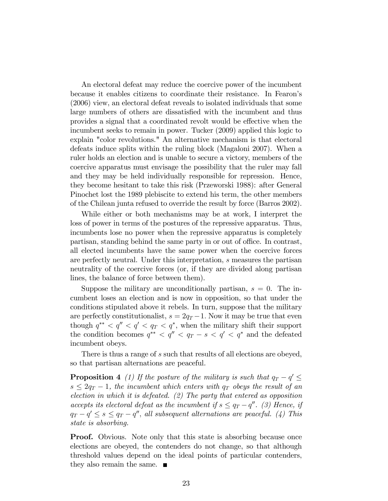An electoral defeat may reduce the coercive power of the incumbent because it enables citizens to coordinate their resistance. In Fearon's (2006) view, an electoral defeat reveals to isolated individuals that some large numbers of others are dissatisfied with the incumbent and thus provides a signal that a coordinated revolt would be effective when the incumbent seeks to remain in power. Tucker (2009) applied this logic to explain "color revolutions." An alternative mechanism is that electoral defeats induce splits within the ruling block (Magaloni 2007). When a ruler holds an election and is unable to secure a victory, members of the coercive apparatus must envisage the possibility that the ruler may fall and they may be held individually responsible for repression. Hence, they become hesitant to take this risk (Przeworski 1988): after General Pinochet lost the 1989 plebiscite to extend his term, the other members of the Chilean junta refused to override the result by force (Barros 2002).

While either or both mechanisms may be at work, I interpret the loss of power in terms of the postures of the repressive apparatus. Thus, incumbents lose no power when the repressive apparatus is completely partisan, standing behind the same party in or out of office. In contrast, all elected incumbents have the same power when the coercive forces are perfectly neutral. Under this interpretation, s measures the partisan neutrality of the coercive forces (or, if they are divided along partisan lines, the balance of force between them).

Suppose the military are unconditionally partisan,  $s = 0$ . The incumbent loses an election and is now in opposition, so that under the conditions stipulated above it rebels. In turn, suppose that the military are perfectly constitutionalist,  $s = 2q_T - 1$ . Now it may be true that even though  $q^{**} < q'' < q' < q_T < q^*$ , when the military shift their support the condition becomes  $q^{**} < q'' < q_T - s < q' < q^*$  and the defeated incumbent obeys.

There is thus a range of s such that results of all elections are obeyed, so that partisan alternations are peaceful.

**Proposition 4** (1) If the posture of the military is such that  $q_T - q' \leq$  $s \leq 2q_T - 1$ , the incumbent which enters with  $q_T$  obeys the result of an election in which it is defeated. (2) The party that entered as opposition accepts its electoral defeat as the incumbent if  $s \leq q_T - q''$ . (3) Hence, if  $q_T - q' \leq s \leq q_T - q''$ , all subsequent alternations are peaceful. (4) This state is absorbing.

**Proof.** Obvious. Note only that this state is absorbing because once elections are obeyed, the contenders do not change, so that although threshold values depend on the ideal points of particular contenders, they also remain the same.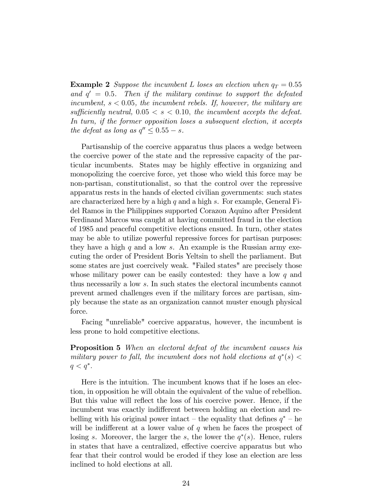**Example 2** Suppose the incumbent L loses an election when  $q_T = 0.55$ and  $q' = 0.5$ . Then if the military continue to support the defeated incumbent,  $s < 0.05$ , the incumbent rebels. If, however, the military are sufficiently neutral,  $0.05 < s < 0.10$ , the incumbent accepts the defeat. In turn, if the former opposition loses a subsequent election, it accepts the defeat as long as  $q'' \leq 0.55 - s$ .

Partisanship of the coercive apparatus thus places a wedge between the coercive power of the state and the repressive capacity of the particular incumbents. States may be highly effective in organizing and monopolizing the coercive force, yet those who wield this force may be non-partisan, constitutionalist, so that the control over the repressive apparatus rests in the hands of elected civilian governments: such states are characterized here by a high  $q$  and a high  $s$ . For example, General Fidel Ramos in the Philippines supported Corazon Aquino after President Ferdinand Marcos was caught at having committed fraud in the election of 1985 and peaceful competitive elections ensued. In turn, other states may be able to utilize powerful repressive forces for partisan purposes: they have a high  $q$  and a low  $s$ . An example is the Russian army executing the order of President Boris Yeltsin to shell the parliament. But some states are just coercively weak. "Failed states" are precisely those whose military power can be easily contested: they have a low  $q$  and thus necessarily a low s. In such states the electoral incumbents cannot prevent armed challenges even if the military forces are partisan, simply because the state as an organization cannot muster enough physical force.

Facing "unreliable" coercive apparatus, however, the incumbent is less prone to hold competitive elections.

**Proposition 5** When an electoral defeat of the incumbent causes his military power to fall, the incumbent does not hold elections at  $q^*(s)$  <  $q < q^*$ .

Here is the intuition. The incumbent knows that if he loses an election, in opposition he will obtain the equivalent of the value of rebellion. But this value will reflect the loss of his coercive power. Hence, if the incumbent was exactly indifferent between holding an election and rebelling with his original power intact – the equality that defines  $q^*$  – he will be indifferent at a lower value of  $q$  when he faces the prospect of losing s. Moreover, the larger the s, the lower the  $q^*(s)$ . Hence, rulers in states that have a centralized, effective coercive apparatus but who fear that their control would be eroded if they lose an election are less inclined to hold elections at all.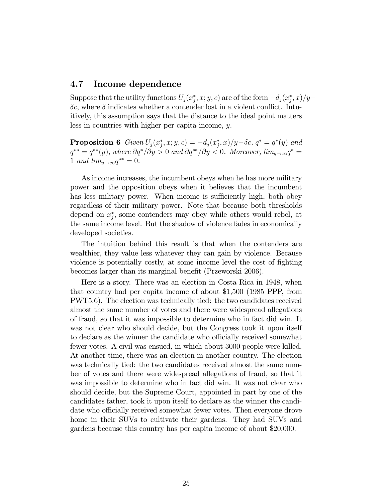### 4.7 Income dependence

Suppose that the utility functions  $U_j(x_j^*, x; y, c)$  are of the form  $-d_j(x_j^*, x)/y$  $\delta c$ , where  $\delta$  indicates whether a contender lost in a violent conflict. Intuitively, this assumption says that the distance to the ideal point matters less in countries with higher per capita income, y.

**Proposition 6** Given  $U_j(x_j^*, x; y, c) = -d_j(x_j^*, x)/y - \delta c$ ,  $q^* = q^*(y)$  and  $q^{**} = q^{**}(y)$ , where  $\partial q^{*}/\partial y > 0$  and  $\partial q^{**}/\partial y < 0$ . Moreover,  $\lim_{y\to\infty} q^{*} = 0$ 1 and  $\lim_{y\to\infty} q^{**} = 0.$ 

As income increases, the incumbent obeys when he has more military power and the opposition obeys when it believes that the incumbent has less military power. When income is sufficiently high, both obey regardless of their military power. Note that because both thresholds depend on  $x_j^*$ , some contenders may obey while others would rebel, at the same income level. But the shadow of violence fades in economically developed societies.

The intuition behind this result is that when the contenders are wealthier, they value less whatever they can gain by violence. Because violence is potentially costly, at some income level the cost of fighting becomes larger than its marginal benefit (Przeworski 2006).

Here is a story. There was an election in Costa Rica in 1948, when that country had per capita income of about \$1,500 (1985 PPP, from PWT5.6). The election was technically tied: the two candidates received almost the same number of votes and there were widespread allegations of fraud, so that it was impossible to determine who in fact did win. It was not clear who should decide, but the Congress took it upon itself to declare as the winner the candidate who officially received somewhat fewer votes. A civil was ensued, in which about 3000 people were killed. At another time, there was an election in another country. The election was technically tied: the two candidates received almost the same number of votes and there were widespread allegations of fraud, so that it was impossible to determine who in fact did win. It was not clear who should decide, but the Supreme Court, appointed in part by one of the candidates father, took it upon itself to declare as the winner the candidate who officially received somewhat fewer votes. Then everyone drove home in their SUVs to cultivate their gardens. They had SUVs and gardens because this country has per capita income of about \$20,000.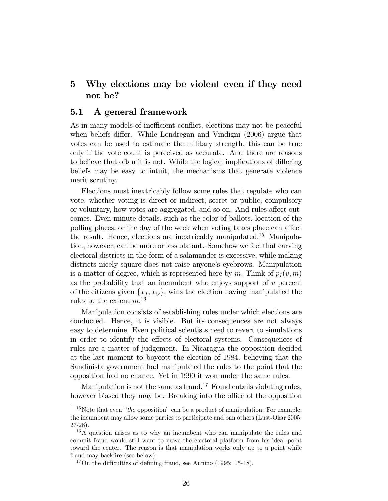# 5 Why elections may be violent even if they need not be?

#### 5.1 A general framework

As in many models of inefficient conflict, elections may not be peaceful when beliefs differ. While Londregan and Vindigni (2006) argue that votes can be used to estimate the military strength, this can be true only if the vote count is perceived as accurate. And there are reasons to believe that often it is not. While the logical implications of differing beliefs may be easy to intuit, the mechanisms that generate violence merit scrutiny.

Elections must inextricably follow some rules that regulate who can vote, whether voting is direct or indirect, secret or public, compulsory or voluntary, how votes are aggregated, and so on. And rules affect outcomes. Even minute details, such as the color of ballots, location of the polling places, or the day of the week when voting takes place can affect the result. Hence, elections are inextricably manipulated.<sup>15</sup> Manipulation, however, can be more or less blatant. Somehow we feel that carving electoral districts in the form of a salamander is excessive, while making districts nicely square does not raise anyone's eyebrows. Manipulation is a matter of degree, which is represented here by m. Think of  $p_I (v, m)$ as the probability that an incumbent who enjoys support of  $v$  percent of the citizens given  $\{x_I, x_O\}$ , wins the election having manipulated the rules to the extent  $m^{16}$ 

Manipulation consists of establishing rules under which elections are conducted. Hence, it is visible. But its consequences are not always easy to determine. Even political scientists need to revert to simulations in order to identify the effects of electoral systems. Consequences of rules are a matter of judgement. In Nicaragua the opposition decided at the last moment to boycott the election of 1984, believing that the Sandinista government had manipulated the rules to the point that the opposition had no chance. Yet in 1990 it won under the same rules.

Manipulation is not the same as fraud.<sup>17</sup> Fraud entails violating rules, however biased they may be. Breaking into the office of the opposition

<sup>&</sup>lt;sup>15</sup>Note that even "*the* opposition" can be a product of manipulation. For example, the incumbent may allow some parties to participate and ban others (Lust-Okar 2005: 27-28).

<sup>&</sup>lt;sup>16</sup>A question arises as to why an incumbent who can manipulate the rules and commit fraud would still want to move the electoral platform from his ideal point toward the center. The reason is that maniulation works only up to a point while fraud may backfire (see below).

 $17$ On the difficulties of defining fraud, see Annino (1995: 15-18).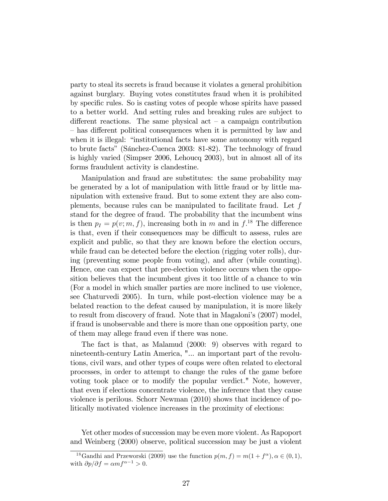party to steal its secrets is fraud because it violates a general prohibition against burglary. Buying votes constitutes fraud when it is prohibited by specific rules. So is casting votes of people whose spirits have passed to a better world. And setting rules and breaking rules are subject to different reactions. The same physical act  $-$  a campaign contribution – has different political consequences when it is permitted by law and when it is illegal: "institutional facts have some autonomy with regard to brute facts" (Sánchez-Cuenca 2003: 81-82). The technology of fraud is highly varied (Simpser 2006, Lehoucq 2003), but in almost all of its forms fraudulent activity is clandestine.

Manipulation and fraud are substitutes: the same probability may be generated by a lot of manipulation with little fraud or by little manipulation with extensive fraud. But to some extent they are also complements, because rules can be manipulated to facilitate fraud. Let f stand for the degree of fraud. The probability that the incumbent wins is then  $p_I = p(v; m, f)$ , increasing both in m and in  $f<sup>18</sup>$ . The difference is that, even if their consequences may be difficult to assess, rules are explicit and public, so that they are known before the election occurs, while fraud can be detected before the election (rigging voter rolls), during (preventing some people from voting), and after (while counting). Hence, one can expect that pre-election violence occurs when the opposition believes that the incumbent gives it too little of a chance to win (For a model in which smaller parties are more inclined to use violence, see Chaturvedi 2005). In turn, while post-election violence may be a belated reaction to the defeat caused by manipulation, it is more likely to result from discovery of fraud. Note that in Magaloni's (2007) model, if fraud is unobservable and there is more than one opposition party, one of them may allege fraud even if there was none.

The fact is that, as Malamud (2000: 9) observes with regard to nineteenth-century Latin America, "... an important part of the revolutions, civil wars, and other types of coups were often related to electoral processes, in order to attempt to change the rules of the game before voting took place or to modify the popular verdict." Note, however, that even if elections concentrate violence, the inference that they cause violence is perilous. Schorr Newman (2010) shows that incidence of politically motivated violence increases in the proximity of elections:

Yet other modes of succession may be even more violent. As Rapoport and Weinberg (2000) observe, political succession may be just a violent

<sup>&</sup>lt;sup>18</sup>Gandhi and Przeworski (2009) use the function  $p(m, f) = m(1 + f^{\alpha}), \alpha \in (0, 1),$ with  $\partial p/\partial f = \alpha mf^{\alpha - 1} > 0$ .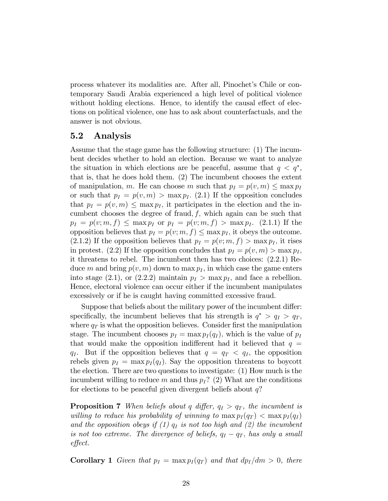process whatever its modalities are. After all, Pinochetís Chile or contemporary Saudi Arabia experienced a high level of political violence without holding elections. Hence, to identify the causal effect of elections on political violence, one has to ask about counterfactuals, and the answer is not obvious.

# 5.2 Analysis

Assume that the stage game has the following structure: (1) The incumbent decides whether to hold an election. Because we want to analyze the situation in which elections are be peaceful, assume that  $q < q^*$ , that is, that he does hold them. (2) The incumbent chooses the extent of manipulation, m. He can choose m such that  $p_I = p(v, m) \leq \max p_I$ or such that  $p_I = p(v, m) > \max p_I$ . (2.1) If the opposition concludes that  $p_I = p(v, m) \leq \max p_I$ , it participates in the election and the incumbent chooses the degree of fraud,  $f$ , which again can be such that  $p_I = p(v; m, f) \leq \max p_I$  or  $p_I = p(v; m, f) > \max p_I$ . (2.1.1) If the opposition believes that  $p_I = p(v; m, f) \leq \max p_I$ , it obeys the outcome.  $(2.1.2)$  If the opposition believes that  $p_I = p(v; m, f) > \max p_I$ , it rises in protest. (2.2) If the opposition concludes that  $p_I = p(v, m) > \max p_I$ , it threatens to rebel. The incumbent then has two choices: (2.2.1) Reduce m and bring  $p(v, m)$  down to max  $p<sub>I</sub>$ , in which case the game enters into stage (2.1), or (2.2.2) maintain  $p_I > \max p_I$ , and face a rebellion. Hence, electoral violence can occur either if the incumbent manipulates excessively or if he is caught having committed excessive fraud.

Suppose that beliefs about the military power of the incumbent differ: specifically, the incumbent believes that his strength is  $q^* > q_I > q_T$ , where  $q_T$  is what the opposition believes. Consider first the manipulation stage. The incumbent chooses  $p_I = \max p_I(q_I)$ , which is the value of  $p_I$ that would make the opposition indifferent had it believed that  $q =$  $q_I$ . But if the opposition believes that  $q = q_T < q_I$ , the opposition rebels given  $p_I = \max p_I(q_I)$ . Say the opposition threatens to boycott the election. There are two questions to investigate: (1) How much is the incumbent willing to reduce m and thus  $p_I$ ? (2) What are the conditions for elections to be peaceful given divergent beliefs about  $q$ ?

**Proposition 7** When beliefs about q differ,  $q_I > q_T$ , the incumbent is willing to reduce his probability of winning to  $\max p_I(q_T) < \max p_I(q_I)$ and the opposition obeys if  $(1)$   $q<sub>I</sub>$  is not too high and  $(2)$  the incumbent is not too extreme. The divergence of beliefs,  $q_I - q_T$ , has only a small effect.

**Corollary 1** Given that  $p_I = \max p_I(q_T)$  and that  $dp_I/dm > 0$ , there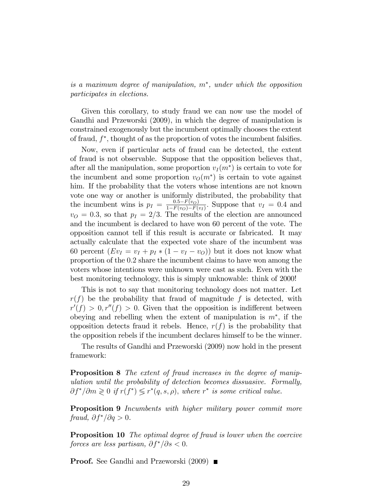is a maximum degree of manipulation,  $m^*$ , under which the opposition participates in elections.

Given this corollary, to study fraud we can now use the model of Gandhi and Przeworski (2009), in which the degree of manipulation is constrained exogenously but the incumbent optimally chooses the extent of fraud,  $f^*$ , thought of as the proportion of votes the incumbent falsifies.

Now, even if particular acts of fraud can be detected, the extent of fraud is not observable. Suppose that the opposition believes that, after all the manipulation, some proportion  $v_I(m^*)$  is certain to vote for the incumbent and some proportion  $v<sub>O</sub>(m<sup>*</sup>)$  is certain to vote against him. If the probability that the voters whose intentions are not known vote one way or another is uniformly distributed, the probability that the incumbent wins is  $p_I = \frac{0.5 - F(v_O)}{1 - F(v_O) - F(v_O)}$  $\frac{0.5-F(v_O)}{1-F(v_O)-F(v_I)}$ . Suppose that  $v_I = 0.4$  and  $v_O = 0.3$ , so that  $p_I = 2/3$ . The results of the election are announced and the incumbent is declared to have won 60 percent of the vote. The opposition cannot tell if this result is accurate or fabricated. It may actually calculate that the expected vote share of the incumbent was 60 percent  $(Ev_I = v_I + p_I * (1 - v_I - v_O))$  but it does not know what proportion of the 0:2 share the incumbent claims to have won among the voters whose intentions were unknown were cast as such. Even with the best monitoring technology, this is simply unknowable: think of 2000!

This is not to say that monitoring technology does not matter. Let  $r(f)$  be the probability that fraud of magnitude f is detected, with  $r'(f) > 0, r''(f) > 0.$  Given that the opposition is indifferent between obeying and rebelling when the extent of manipulation is  $m^*$ , if the opposition detects fraud it rebels. Hence,  $r(f)$  is the probability that the opposition rebels if the incumbent declares himself to be the winner.

The results of Gandhi and Przeworski (2009) now hold in the present framework:

**Proposition 8** The extent of fraud increases in the degree of manipulation until the probability of detection becomes dissuasive. Formally,  $\partial f^* / \partial m \geqslant 0$  if  $r(f^*) \leqslant r^*(q, s, \rho)$ , where  $r^*$  is some critical value.

Proposition 9 Incumbents with higher military power commit more fraud,  $\partial f^* / \partial q > 0$ .

**Proposition 10** The optimal degree of fraud is lower when the coercive forces are less partisan,  $\partial f^* / \partial s < 0$ .

**Proof.** See Gandhi and Przeworski (2009) ■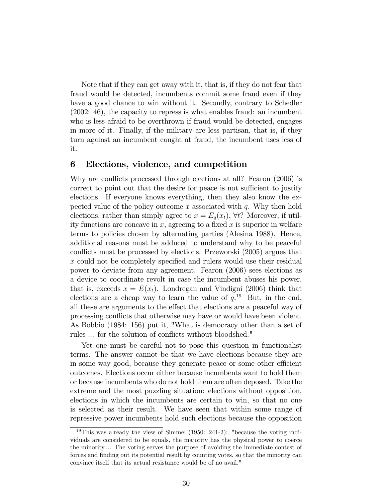Note that if they can get away with it, that is, if they do not fear that fraud would be detected, incumbents commit some fraud even if they have a good chance to win without it. Secondly, contrary to Schedler (2002: 46), the capacity to repress is what enables fraud: an incumbent who is less afraid to be overthrown if fraud would be detected, engages in more of it. Finally, if the military are less partisan, that is, if they turn against an incumbent caught at fraud, the incumbent uses less of it.

### 6 Elections, violence, and competition

Why are conflicts processed through elections at all? Fearon (2006) is correct to point out that the desire for peace is not sufficient to justify elections. If everyone knows everything, then they also know the expected value of the policy outcome x associated with  $q$ . Why then hold elections, rather than simply agree to  $x = E_q(x_t)$ ,  $\forall t$ ? Moreover, if utility functions are concave in x, agreeing to a fixed x is superior in welfare terms to policies chosen by alternating parties (Alesina 1988). Hence, additional reasons must be adduced to understand why to be peaceful conflicts must be processed by elections. Przeworski (2005) argues that x could not be completely specified and rulers would use their residual power to deviate from any agreement. Fearon (2006) sees elections as a device to coordinate revolt in case the incumbent abuses his power, that is, exceeds  $x = E(x_t)$ . Londregan and Vindigni (2006) think that elections are a cheap way to learn the value of  $q$ <sup>19</sup> But, in the end, all these are arguments to the effect that elections are a peaceful way of processing conflicts that otherwise may have or would have been violent. As Bobbio (1984: 156) put it, "What is democracy other than a set of rules ... for the solution of conflicts without bloodshed."

Yet one must be careful not to pose this question in functionalist terms. The answer cannot be that we have elections because they are in some way good, because they generate peace or some other efficient outcomes. Elections occur either because incumbents want to hold them or because incumbents who do not hold them are often deposed. Take the extreme and the most puzzling situation: elections without opposition, elections in which the incumbents are certain to win, so that no one is selected as their result. We have seen that within some range of repressive power incumbents hold such elections because the opposition

 $19$ This was already the view of Simmel (1950: 241-2): "because the voting individuals are considered to be equals, the majority has the physical power to coerce the minority.... The voting serves the purpose of avoiding the immediate contest of forces and finding out its potential result by counting votes, so that the minority can convince itself that its actual resistance would be of no avail."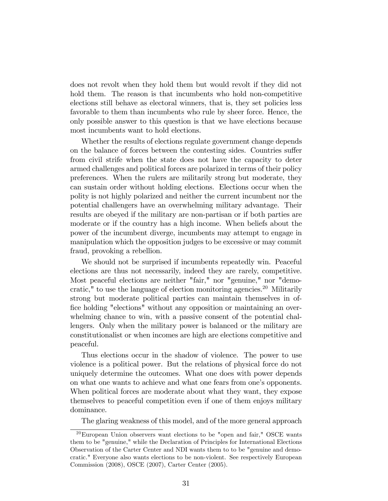does not revolt when they hold them but would revolt if they did not hold them. The reason is that incumbents who hold non-competitive elections still behave as electoral winners, that is, they set policies less favorable to them than incumbents who rule by sheer force. Hence, the only possible answer to this question is that we have elections because most incumbents want to hold elections.

Whether the results of elections regulate government change depends on the balance of forces between the contesting sides. Countries suffer from civil strife when the state does not have the capacity to deter armed challenges and political forces are polarized in terms of their policy preferences. When the rulers are militarily strong but moderate, they can sustain order without holding elections. Elections occur when the polity is not highly polarized and neither the current incumbent nor the potential challengers have an overwhelming military advantage. Their results are obeyed if the military are non-partisan or if both parties are moderate or if the country has a high income. When beliefs about the power of the incumbent diverge, incumbents may attempt to engage in manipulation which the opposition judges to be excessive or may commit fraud, provoking a rebellion.

We should not be surprised if incumbents repeatedly win. Peaceful elections are thus not necessarily, indeed they are rarely, competitive. Most peaceful elections are neither "fair," nor "genuine," nor "democratic," to use the language of election monitoring agencies.<sup>20</sup> Militarily strong but moderate political parties can maintain themselves in office holding "elections" without any opposition or maintaining an overwhelming chance to win, with a passive consent of the potential challengers. Only when the military power is balanced or the military are constitutionalist or when incomes are high are elections competitive and peaceful.

Thus elections occur in the shadow of violence. The power to use violence is a political power. But the relations of physical force do not uniquely determine the outcomes. What one does with power depends on what one wants to achieve and what one fears from one's opponents. When political forces are moderate about what they want, they expose themselves to peaceful competition even if one of them enjoys military dominance.

The glaring weakness of this model, and of the more general approach

 $^{20}$ European Union observers want elections to be "open and fair," OSCE wants them to be "genuine," while the Declaration of Principles for International Elections Observation of the Carter Center and NDI wants them to to be "genuine and democratic." Everyone also wants elections to be non-violent. See respectively European Commission (2008), OSCE (2007), Carter Center (2005).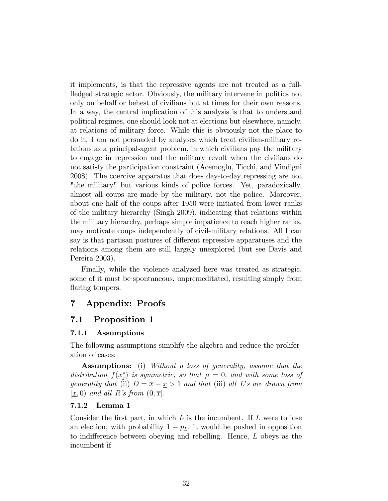it implements, is that the repressive agents are not treated as a fullfledged strategic actor. Obviously, the military intervene in politics not only on behalf or behest of civilians but at times for their own reasons. In a way, the central implication of this analysis is that to understand political regimes, one should look not at elections but elsewhere, namely, at relations of military force. While this is obviously not the place to do it, I am not persuaded by analyses which treat civilian-military relations as a principal-agent problem, in which civilians pay the military to engage in repression and the military revolt when the civilians do not satisfy the participation constraint (Acemoglu, Ticchi, and Vindigni 2008). The coercive apparatus that does day-to-day repressing are not "the military" but various kinds of police forces. Yet, paradoxically, almost all coups are made by the military, not the police. Moreover, about one half of the coups after 1950 were initiated from lower ranks of the military hierarchy (Singh 2009), indicating that relations within the military hierarchy, perhaps simple impatience to reach higher ranks, may motivate coups independently of civil-military relations. All I can say is that partisan postures of different repressive apparatuses and the relations among them are still largely unexplored (but see Davis and Pereira 2003).

Finally, while the violence analyzed here was treated as strategic, some of it must be spontaneous, unpremeditated, resulting simply from flaring tempers.

# 7 Appendix: Proofs

# 7.1 Proposition 1

#### 7.1.1 Assumptions

The following assumptions simplify the algebra and reduce the proliferation of cases:

Assumptions: (i) Without a loss of generality, assume that the distribution  $f(x_j^*)$  is symmetric, so that  $\mu = 0$ , and with some loss of generality that (ii)  $D = \overline{x} - \underline{x} > 1$  and that (iii) all L's are drawn from  $[x, 0)$  and all R's from  $(0, \overline{x})$ .

#### 7.1.2 Lemma 1

Consider the first part, in which  $L$  is the incumbent. If  $L$  were to lose an election, with probability  $1 - p<sub>L</sub>$ , it would be pushed in opposition to indifference between obeying and rebelling. Hence,  $L$  obeys as the incumbent if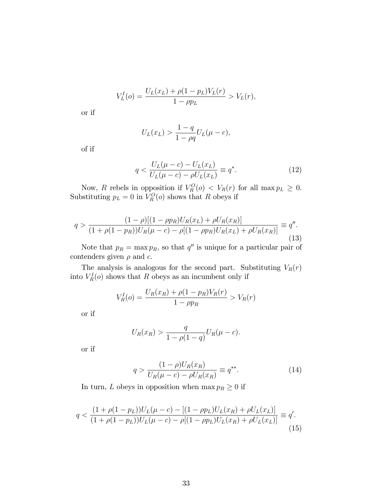$$
V_L^I(o) = \frac{U_L(x_L) + \rho(1 - p_L)V_L(r)}{1 - \rho p_L} > V_L(r),
$$

or if

$$
U_L(x_L) > \frac{1 - q}{1 - \rho q} U_L(\mu - c),
$$

of if

$$
q < \frac{U_L(\mu - c) - U_L(x_L)}{U_L(\mu - c) - \rho U_L(x_L)} \equiv q^*.
$$
\n(12)

Now, R rebels in opposition if  $V_R^O(o) < V_R(r)$  for all  $\max p_L \geq 0$ . Substituting  $p_L = 0$  in  $V_R^O(o)$  shows that R obeys if

$$
q > \frac{(1-\rho)[(1-\rho p_R)U_R(x_L) + \rho U_R(x_R)]}{(1+\rho(1-p_R))U_R(\mu-c) - \rho[(1-\rho p_R)U_R(x_L) + \rho U_R(x_R)]} \equiv q''.
$$
\n(13)

Note that  $p_R = \max p_R$ , so that  $q''$  is unique for a particular pair of contenders given  $\rho$  and  $c$ .

The analysis is analogous for the second part. Substituting  $V_R(r)$ into  $V_R^I(o)$  shows that R obeys as an incumbent only if

$$
V_R^I(o) = \frac{U_R(x_R) + \rho(1 - p_R)V_R(r)}{1 - \rho p_R} > V_R(r)
$$

or if

$$
U_R(x_R) > \frac{q}{1 - \rho(1 - q)} U_R(\mu - c).
$$

or if

$$
q > \frac{(1 - \rho)U_R(x_R)}{U_R(\mu - c) - \rho U_R(x_R)} \equiv q^{**}.
$$
 (14)

In turn,  $L$  obeys in opposition when  $\max p_R \geq 0$  if

$$
q < \frac{(1 + \rho(1 - p_L))U_L(\mu - c) - [(1 - \rho p_L)U_L(x_R) + \rho U_L(x_L)]}{(1 + \rho(1 - p_L))U_L(\mu - c) - \rho[(1 - \rho p_L)U_L(x_R) + \rho U_L(x_L)]} \equiv q'.
$$
\n<sup>(15)</sup>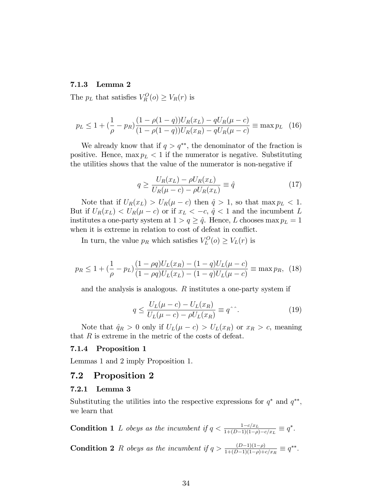#### 7.1.3 Lemma 2

The  $p_L$  that satisfies  $V_R^O(o) \geq V_R(r)$  is

$$
p_L \le 1 + \left(\frac{1}{\rho} - p_R\right) \frac{(1 - \rho(1 - q))U_R(x_L) - qU_R(\mu - c)}{(1 - \rho(1 - q))U_R(x_R) - qU_R(\mu - c)} \equiv \max p_L \tag{16}
$$

We already know that if  $q > q^{**}$ , the denominator of the fraction is positive. Hence,  $\max p_L < 1$  if the numerator is negative. Substituting the utilities shows that the value of the numerator is non-negative if

$$
q \ge \frac{U_R(x_L) - \rho U_R(x_L)}{U_R(\mu - c) - \rho U_R(x_L)} \equiv \hat{q}
$$
\n(17)

Note that if  $U_R(x_L) > U_R(\mu - c)$  then  $\hat{q} > 1$ , so that max  $p_L < 1$ . But if  $U_R(x_L) < U_R(\mu - c)$  or if  $x_L < -c$ ,  $\hat{q} < 1$  and the incumbent L institutes a one-party system at  $1 > q \geq \hat{q}$ . Hence, L chooses max  $p_L = 1$ when it is extreme in relation to cost of defeat in conflict.

In turn, the value  $p_R$  which satisfies  $V_L^O(o) \ge V_L(r)$  is

$$
p_R \le 1 + \left(\frac{1}{\rho} - p_L\right) \frac{(1 - \rho q)U_L(x_R) - (1 - q)U_L(\mu - c)}{(1 - \rho q)U_L(x_L) - (1 - q)U_L(\mu - c)} \equiv \max p_R, \tag{18}
$$

and the analysis is analogous. R institutes a one-party system if

$$
q \le \frac{U_L(\mu - c) - U_L(x_R)}{U_L(\mu - c) - \rho U_L(x_R)} \equiv q^{\hat{\ }}.
$$
 (19)

Note that  $\hat{q}_R > 0$  only if  $U_L(\mu - c) > U_L(x_R)$  or  $x_R > c$ , meaning that  $R$  is extreme in the metric of the costs of defeat.

#### 7.1.4 Proposition 1

Lemmas 1 and 2 imply Proposition 1.

#### 7.2 Proposition 2

#### 7.2.1 Lemma 3

Substituting the utilities into the respective expressions for  $q^*$  and  $q^{**}$ , we learn that

**Condition 1** *L* obeys as the incumbent if  $q < \frac{1-c/x_L}{1+(D-1)(1-\rho)-c/x_L} \equiv q^*$ .

**Condition 2** R obeys as the incumbent if  $q > \frac{(D-1)(1-\rho)}{1+(D-1)(1-\rho)+c/x_R} \equiv q^{**}$ .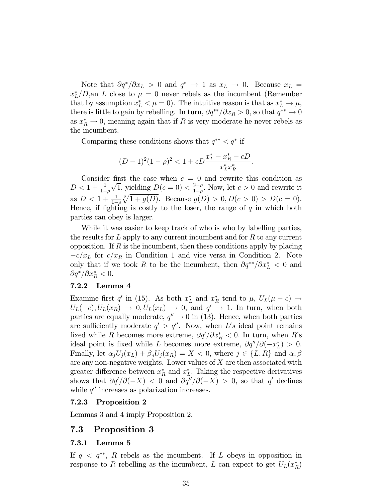Note that  $\partial q^*/\partial x_L > 0$  and  $q^* \to 1$  as  $x_L \to 0$ . Because  $x_L =$  $x_L^*/D$ , an L close to  $\mu = 0$  never rebels as the incumbent (Remember that by assumption  $x_L^* < \mu = 0$ ). The intuitive reason is that as  $x_L^* \to \mu$ , there is little to gain by rebelling. In turn,  $\partial q^{**}/\partial x_R > 0$ , so that  $q^{**} \to 0$ as  $x_R^* \to 0$ , meaning again that if R is very moderate he never rebels as the incumbent.

Comparing these conditions shows that  $q^{**} < q^*$  if

$$
(D-1)^2(1-\rho)^2 < 1 + cD\frac{x_L^* - x_R^* - cD}{x_L^* x_R^*}.
$$

Consider first the case when  $c = 0$  and rewrite this condition as  $D < 1 + \frac{1}{1-\rho}$  $\sqrt{1}$ , yielding  $D(c=0) < \frac{2-\rho}{1-\rho}$  $\frac{2-\rho}{1-\rho}$ . Now, let  $c > 0$  and rewrite it as  $D < 1 + \frac{1}{1-\rho}$  $\sqrt[2]{1 + g(D)}$ . Because  $g(D) > 0, D(c > 0) > D(c = 0)$ . Hence, if fighting is costly to the loser, the range of  $q$  in which both parties can obey is larger.

While it was easier to keep track of who is who by labelling parties, the results for  $L$  apply to any current incumbent and for  $R$  to any current opposition. If  $R$  is the incumbent, then these conditions apply by placing  $-c/x_L$  for  $c/x_R$  in Condition 1 and vice versa in Condition 2. Note only that if we took R to be the incumbent, then  $\partial q^{**}/\partial x_L^* < 0$  and  $\partial q^*/\partial x_R^* < 0.$ 

#### 7.2.2 Lemma 4

Examine first q' in (15). As both  $x_L^*$  and  $x_R^*$  tend to  $\mu$ ,  $U_L(\mu - c) \rightarrow$  $U_L(-c), U_L(x_R) \rightarrow 0, U_L(x_L) \rightarrow 0, \text{ and } q' \rightarrow 1.$  In turn, when both parties are equally moderate,  $q'' \rightarrow 0$  in (13). Hence, when both parties are sufficiently moderate  $q' > q''$ . Now, when L's ideal point remains fixed while R becomes more extreme,  $\partial q' / \partial x_R^* < 0$ . In turn, when R's ideal point is fixed while L becomes more extreme,  $\partial q''/\partial(-x_L^*) > 0$ . Finally, let  $\alpha_j U_j(x_L) + \beta_j U_j(x_R) = X < 0$ , where  $j \in \{L, R\}$  and  $\alpha, \beta$ are any non-negative weights. Lower values of  $X$  are then associated with greater difference between  $x_R^*$  and  $x_L^*$ . Taking the respective derivatives shows that  $\partial q'/\partial(-X) < 0$  and  $\partial q''/\partial(-X) > 0$ , so that q' declines while  $q''$  increases as polarization increases.

#### 7.2.3 Proposition 2

Lemmas 3 and 4 imply Proposition 2.

### 7.3 Proposition 3

#### 7.3.1 Lemma 5

If  $q \lt q^{**}$ , R rebels as the incumbent. If L obeys in opposition in response to R rebelling as the incumbent, L can expect to get  $U_L(x_R^*)$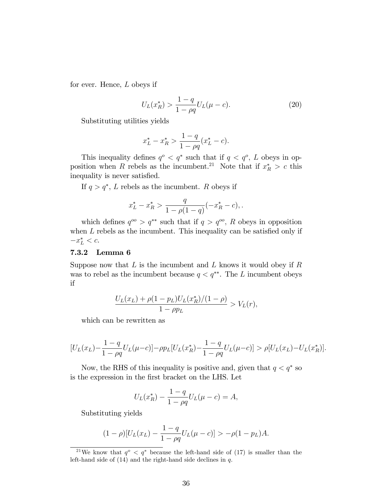for ever. Hence, L obeys if

$$
U_L(x_R^*) > \frac{1-q}{1-\rho q} U_L(\mu - c).
$$
 (20)

Substituting utilities yields

$$
x_L^* - x_R^* > \frac{1 - q}{1 - \rho q} (x_L^* - c).
$$

This inequality defines  $q^o < q^*$  such that if  $q < q^o$ , L obeys in opposition when R rebels as the incumbent.<sup>21</sup> Note that if  $x_R^* > c$  this inequality is never satisfied.

If  $q > q^*$ , L rebels as the incumbent. R obeys if

$$
x_L^* - x_R^* > \frac{q}{1 - \rho(1 - q)}(-x_R^* - c),
$$

which defines  $q^{\circ \circ} > q^{**}$  such that if  $q > q^{\circ \circ}$ , R obeys in opposition when  $L$  rebels as the incumbent. This inequality can be satisfied only if  $-x_L^* < c.$ 

#### 7.3.2 Lemma 6

Suppose now that  $L$  is the incumbent and  $L$  knows it would obey if  $R$ was to rebel as the incumbent because  $q < q^{**}$ . The L incumbent obeys if

$$
\frac{U_L(x_L) + \rho (1 - p_L) U_L(x_R^*)/(1 - \rho)}{1 - \rho p_L} > V_L(r),
$$

which can be rewritten as

$$
[U_L(x_L) - \frac{1-q}{1-\rho q} U_L(\mu - c)] - \rho p_L [U_L(x_R^*) - \frac{1-q}{1-\rho q} U_L(\mu - c)] > \rho [U_L(x_L) - U_L(x_R^*)].
$$

Now, the RHS of this inequality is positive and, given that  $q < q^*$  so is the expression in the Örst bracket on the LHS. Let

$$
U_L(x_R^*) - \frac{1-q}{1-\rho q} U_L(\mu - c) = A,
$$

Substituting yields

$$
(1 - \rho)[U_L(x_L) - \frac{1 - q}{1 - \rho q}U_L(\mu - c)] > -\rho(1 - p_L)A.
$$

<sup>&</sup>lt;sup>21</sup>We know that  $q^o < q^*$  because the left-hand side of (17) is smaller than the left-hand side of  $(14)$  and the right-hand side declines in  $q$ .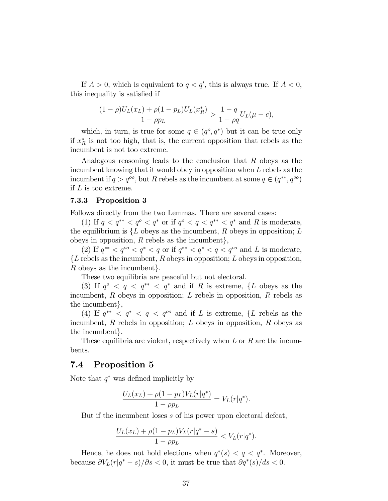If  $A > 0$ , which is equivalent to  $q < q'$ , this is always true. If  $A < 0$ , this inequality is satisfied if

$$
\frac{(1-\rho)U_L(x_L) + \rho(1-p_L)U_L(x_R^*)}{1-\rho p_L} > \frac{1-q}{1-\rho q}U_L(\mu-c),
$$

which, in turn, is true for some  $q \in (q^o, q^*)$  but it can be true only if  $x_R^*$  is not too high, that is, the current opposition that rebels as the incumbent is not too extreme.

Analogous reasoning leads to the conclusion that R obeys as the incumbent knowing that it would obey in opposition when L rebels as the incumbent if  $q > q^{oo}$ , but R rebels as the incumbent at some  $q \in (q^{**}, q^{oo})$ if L is too extreme.

#### 7.3.3 Proposition 3

Follows directly from the two Lemmas. There are several cases:

(1) If  $q < q^{**} < q^o < q^*$  or if  $q^o < q < q^{**} < q^*$  and R is moderate, the equilibrium is  $\{L \text{ obeys as the incumbent}, R \text{ obeys in opposition}; L\}$ obeys in opposition,  $R$  rebels as the incumbent,

(2) If  $q^{**} < q^{oo} < q^* < q$  or if  $q^{**} < q^* < q < q^{oo}$  and L is moderate,  ${L}$  rebels as the incumbent, R obeys in opposition; L obeys in opposition, R obeys as the incumbent.

These two equilibria are peaceful but not electoral.

(3) If  $q^o$  <  $q < q^{**}$  <  $q^*$  and if R is extreme, {L obeys as the incumbent,  $R$  obeys in opposition;  $L$  rebels in opposition,  $R$  rebels as the incumbent,

(4) If  $q^{**} < q^* < q < q^{oo}$  and if L is extreme, {L rebels as the incumbent,  $R$  rebels in opposition;  $L$  obeys in opposition,  $R$  obeys as the incumbent.

These equilibria are violent, respectively when  $L$  or  $R$  are the incumbents.

# 7.4 Proposition 5

Note that  $q^*$  was defined implicitly by

$$
\frac{U_L(x_L) + \rho (1 - p_L) V_L(r|q^*)}{1 - \rho p_L} = V_L(r|q^*).
$$

But if the incumbent loses s of his power upon electoral defeat,

$$
\frac{U_L(x_L) + \rho(1 - p_L)V_L(r|q^* - s)}{1 - \rho p_L} < V_L(r|q^*).
$$

Hence, he does not hold elections when  $q^*(s) < q < q^*$ . Moreover, because  $\partial V_L(r|q^*-s)/\partial s < 0$ , it must be true that  $\partial q^*(s)/ds < 0$ .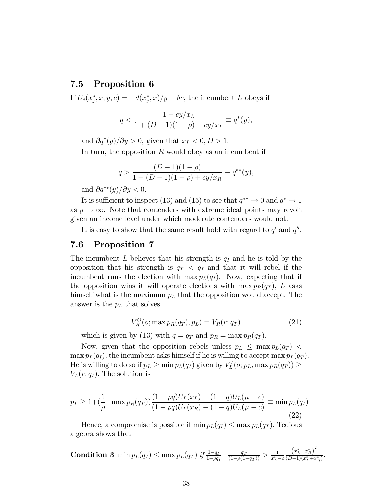# 7.5 Proposition 6

If  $U_j(x_j^*, x; y, c) = -d(x_j^*, x)/y - \delta c$ , the incumbent L obeys if

$$
q < \frac{1 - cy/x_L}{1 + (D - 1)(1 - \rho) - cy/x_L} \equiv q^*(y),
$$

and  $\partial q^*(y)/\partial y > 0$ , given that  $x_L < 0, D > 1$ .

In turn, the opposition  $R$  would obey as an incumbent if

$$
q > \frac{(D-1)(1-\rho)}{1 + (D-1)(1-\rho) + cy/x_R} \equiv q^{**}(y),
$$

and  $\partial q^{**}(y)/\partial y < 0.$ 

It is sufficient to inspect (13) and (15) to see that  $q^{**} \to 0$  and  $q^* \to 1$ as  $y \to \infty$ . Note that contenders with extreme ideal points may revolt given an income level under which moderate contenders would not.

It is easy to show that the same result hold with regard to  $q'$  and  $q''$ .

# 7.6 Proposition 7

The incumbent L believes that his strength is  $q_I$  and he is told by the opposition that his strength is  $q_T < q_I$  and that it will rebel if the incumbent runs the election with max  $p_l(q_l)$ . Now, expecting that if the opposition wins it will operate elections with  $\max p_R(q_T)$ , L asks himself what is the maximum  $p<sub>L</sub>$  that the opposition would accept. The answer is the  $p<sub>L</sub>$  that solves

$$
V_R^O(\mathbf{o}; \max p_R(q_T), p_L) = V_R(r; q_T) \tag{21}
$$

which is given by (13) with  $q = q_T$  and  $p_R = \max p_R(q_T)$ .

Now, given that the opposition rebels unless  $p_L \leq \max p_L(q_T)$ max  $p_L(q_I)$ , the incumbent asks himself if he is willing to accept max  $p_L(q_T)$ . He is willing to do so if  $p_L \ge \min p_L(q_I)$  given by  $V_L^I(o; p_L, \max p_R(q_T)) \ge$  $V_L(r; q_I)$ . The solution is

$$
p_L \ge 1 + \left(\frac{1}{\rho} - \max p_R(q_T)\right) \frac{(1 - \rho q)U_L(x_L) - (1 - q)U_L(\mu - c)}{(1 - \rho q)U_L(x_R) - (1 - q)U_L(\mu - c)} \equiv \min p_L(q_I)
$$
\n(22)

Hence, a compromise is possible if  $\min p_L(q_I) \leq \max p_L(q_T)$ . Tedious algebra shows that

**Condition 3** min 
$$
p_L(q_I) \leq \max p_L(q_T)
$$
 if  $\frac{1-q_I}{1-\rho q_I} - \frac{q_T}{(1-\rho(1-q_T))} > \frac{1}{x_L^*-c} \frac{(x_L^*-x_R^*)^2}{(D-1)(x_L^*+x_R^*)}$ 

: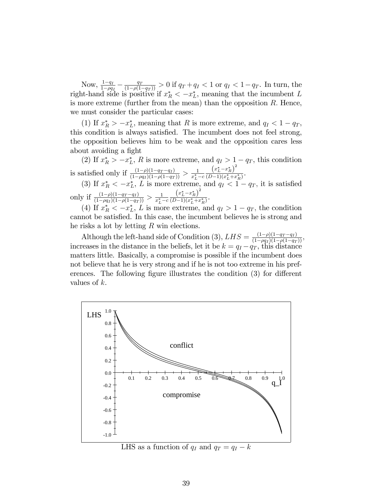Now,  $\frac{1-q_I}{1-\rho q_I} - \frac{q_T}{(1-\rho(1-q_T))} > 0$  if  $q_T + q_I < 1$  or  $q_I < 1-q_T$ . In turn, the right-hand side is positive if  $x_R^* < -x_L^*$ , meaning that the incumbent L is more extreme (further from the mean) than the opposition  $R$ . Hence, we must consider the particular cases:

(1) If  $x_R^* > -x_L^*$ , meaning that R is more extreme, and  $q_I < 1 - q_T$ , this condition is always satisfied. The incumbent does not feel strong, the opposition believes him to be weak and the opposition cares less about avoiding a fight

(2) If  $x_R^* > -x_L^*$ , R is more extreme, and  $q_I > 1 - q_T$ , this condition is satisfied only if  $\frac{(1-\rho)(1-q_T-q_I)}{(1-\rho q_I)(1-\rho(1-q_T))} > \frac{1}{x_L^*}$  $x_L^* - c$  $(x_L^* - x_R^*)^2$  $\frac{({}^{x}L x_{R})}{(D-1)(x_{L}^{*}+x_{R}^{*})}$ .

(3) If  $x_R^* < -x_L^*$ , L is more extreme, and  $q_I < 1 - q_T$ , it is satisfied only if  $\frac{(1-\rho)(1-q_T-q_I)}{(1-\rho q_I)(1-\rho(1-q_T))} > \frac{1}{x_L^*}$  $x_L^* - c$  $\left(x_L^* - x_R^*\right)$  $\frac{({}^{x}L \, {}^{x}R)}{(D-1)(x_L^*+x_R^*)}$ .

(4) If  $x_R^* < -x_L^*$ , L is more extreme, and  $q_I > 1 - q_T$ , the condition cannot be satisfied. In this case, the incumbent believes he is strong and he risks a lot by letting R win elections.

Although the left-hand side of Condition (3),  $LHS = \frac{(1-\rho)(1-q_T-q_I)}{(1-\rho q_I)(1-\rho(1-q_T))}$ , increases in the distance in the beliefs, let it be  $k = q_I - q_T$ , this distance matters little. Basically, a compromise is possible if the incumbent does not believe that he is very strong and if he is not too extreme in his preferences. The following figure illustrates the condition  $(3)$  for different values of k.



LHS as a function of  $q_I$  and  $q_T = q_I - k$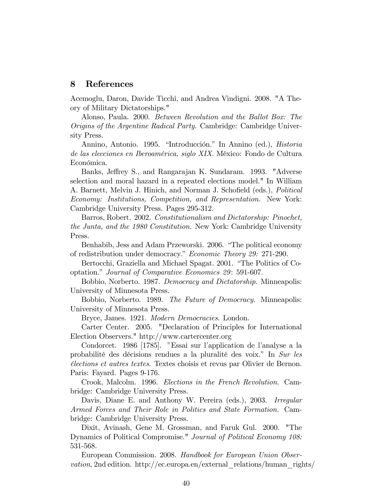#### 8 References

Acemoglu, Daron, Davide Ticchi, and Andrea Vindigni. 2008. "A Theory of Military Dictatorships."

Alonso, Paula. 2000. Between Revolution and the Ballot Box: The Origins of the Argentine Radical Party. Cambridge: Cambridge University Press.

Annino, Antonio. 1995. "Introducción." In Annino (ed.), *Historia* de las elecciones en Iberoamérica, siglo XIX. México: Fondo de Cultura Económica.

Banks, Jeffrey S., and Rangarajan K. Sundaram. 1993. "Adverse selection and moral hazard in a repeated elections model." In William A. Barnett, Melvin J. Hinich, and Norman J. Schofield (eds.), Political Economy: Institutions, Competition, and Representation. New York: Cambridge University Press. Pages 295-312.

Barros, Robert. 2002. Constitutionalism and Dictatorship: Pinochet, the Junta, and the 1980 Constitution. New York: Cambridge University Press.

Benhabib, Jess and Adam Przeworski. 2006. "The political economy of redistribution under democracy." Economic Theory 29: 271-290.

Bertocchi, Graziella and Michael Spagat. 2001. "The Politics of Cooptation." Journal of Comparative Economics 29: 591-607.

Bobbio, Norberto. 1987. Democracy and Dictatorship. Minneapolis: University of Minnesota Press.

Bobbio, Norberto. 1989. The Future of Democracy. Minneapolis: University of Minnesota Press.

Bryce, James. 1921. Modern Democracies. London.

Carter Center. 2005. "Declaration of Principles for International Election Observers." http://www.cartercenter.org

Condorcet. 1986 [1785]. "Essai sur l'application de l'analyse a la probabilité des décisions rendues a la pluralité des voix." In Sur les Èlections et autres textes. Textes choisis et revus par Olivier de Bernon. Paris: Fayard. Pages 9-176.

Crook, Malcolm. 1996. Elections in the French Revolution. Cambridge: Cambridge University Press.

Davis, Diane E. and Anthony W. Pereira (eds.), 2003. Irregular Armed Forces and Their Role in Politics and State Formation. Cambridge: Cambridge University Press.

Dixit, Avinash, Gene M. Grossman, and Faruk Gul. 2000. "The Dynamics of Political Compromise." Journal of Political Economy 108: 531-568.

European Commission. 2008. Handbook for European Union Observation, 2nd edition. http://ec.europa.en/external\_relations/human\_rights/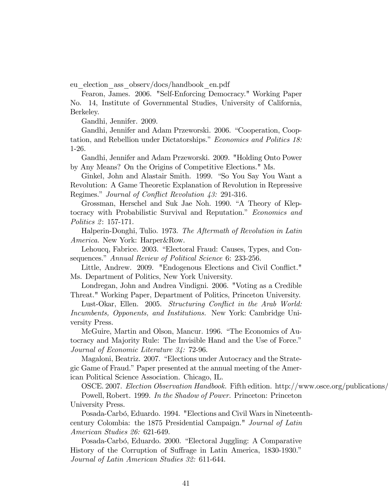eu\_election\_ass\_observ/docs/handbook\_en.pdf

Fearon, James. 2006. "Self-Enforcing Democracy." Working Paper No. 14, Institute of Governmental Studies, University of California, Berkeley.

Gandhi, Jennifer. 2009.

Gandhi, Jennifer and Adam Przeworski. 2006. "Cooperation, Cooptation, and Rebellion under Dictatorships." Economics and Politics 18: 1-26.

Gandhi, Jennifer and Adam Przeworski. 2009. "Holding Onto Power by Any Means? On the Origins of Competitive Elections." Ms.

Ginkel, John and Alastair Smith. 1999. "So You Say You Want a Revolution: A Game Theoretic Explanation of Revolution in Repressive Regimes." Journal of Conflict Revolution 43: 291-316.

Grossman, Herschel and Suk Jae Noh. 1990. "A Theory of Kleptocracy with Probabilistic Survival and Reputation." Economics and Politics 2: 157-171.

Halperin-Donghi, Tulio. 1973. The Aftermath of Revolution in Latin America. New York: Harper&Row.

Lehoucq, Fabrice. 2003. "Electoral Fraud: Causes, Types, and Consequences." Annual Review of Political Science 6: 233-256.

Little, Andrew. 2009. "Endogenous Elections and Civil Conflict." Ms. Department of Politics, New York University.

Londregan, John and Andrea Vindigni. 2006. "Voting as a Credible Threat." Working Paper, Department of Politics, Princeton University.

Lust-Okar, Ellen. 2005. Structuring Conflict in the Arab World: Incumbents, Opponents, and Institutions. New York: Cambridge University Press.

McGuire, Martin and Olson, Mancur. 1996. "The Economics of Autocracy and Majority Rule: The Invisible Hand and the Use of Force." Journal of Economic Literature 34: 72-96.

Magaloni, Beatriz. 2007. "Elections under Autocracy and the Strategic Game of Fraud." Paper presented at the annual meeting of the American Political Science Association. Chicago, IL.

OSCE. 2007. *Election Observation Handbook.* Fifth edition. http://www.osce.org/publications/

Powell, Robert. 1999. In the Shadow of Power. Princeton: Princeton University Press.

Posada-Carbó, Eduardo. 1994. "Elections and Civil Wars in Nineteenthcentury Colombia: the 1875 Presidential Campaign." Journal of Latin American Studies 26: 621-649.

Posada-Carbó, Eduardo. 2000. "Electoral Juggling: A Comparative History of the Corruption of Suffrage in Latin America, 1830-1930. Journal of Latin American Studies 32: 611-644.